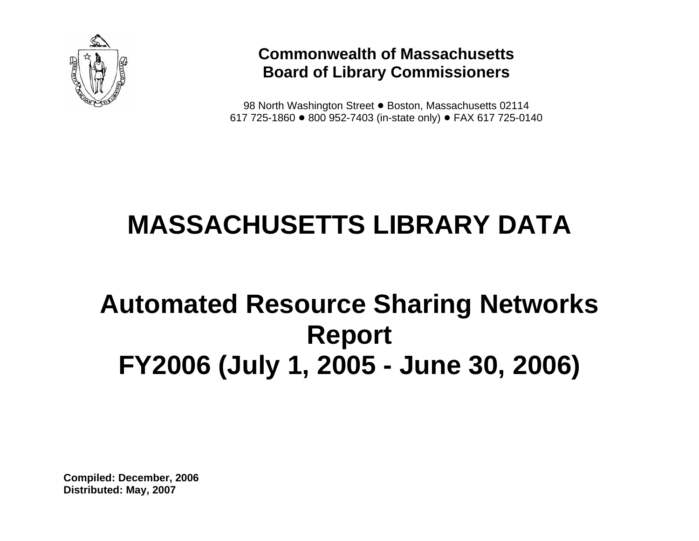

### **Commonwealth of Massachusetts Board of Library Commissioners**

98 North Washington Street ● Boston, Massachusetts 02114 617 725-1860 ● 800 952-7403 (in-state only) ● FAX 617 725-0140

# **MASSACHUSETTS LIBRARY DATA**

## **Automated Resource Sharing Networks Report FY2006 (July 1, 2005 - June 30, 2006)**

**Compiled: December, 2006 Distributed: May, 2007**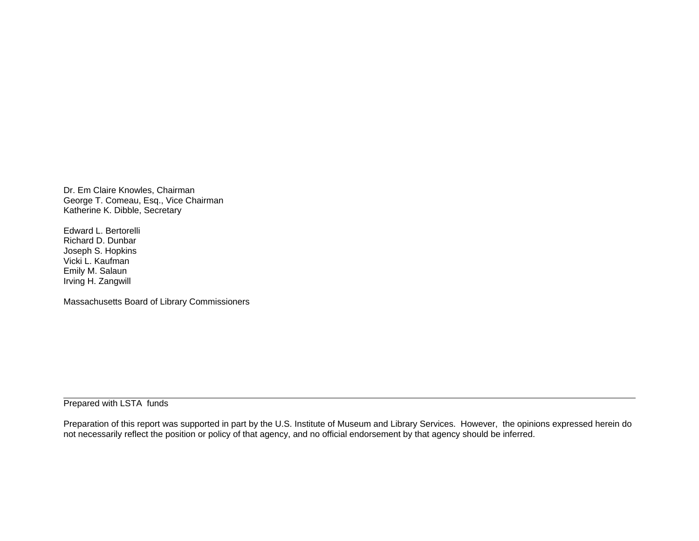Dr. Em Claire Knowles, Chairman George T. Comeau, Esq., Vice Chairman Katherine K. Dibble, Secretary

Edward L. Bertorelli Richard D. Dunbar Joseph S. Hopkins Vicki L. Kaufman Emily M. Salaun Irving H. Zangwill

Massachusetts Board of Library Commissioners

Prepared with LSTA funds

Preparation of this report was supported in part by the U.S. Institute of Museum and Library Services. However, the opinions expressed herein do not necessarily reflect the position or policy of that agency, and no official endorsement by that agency should be inferred.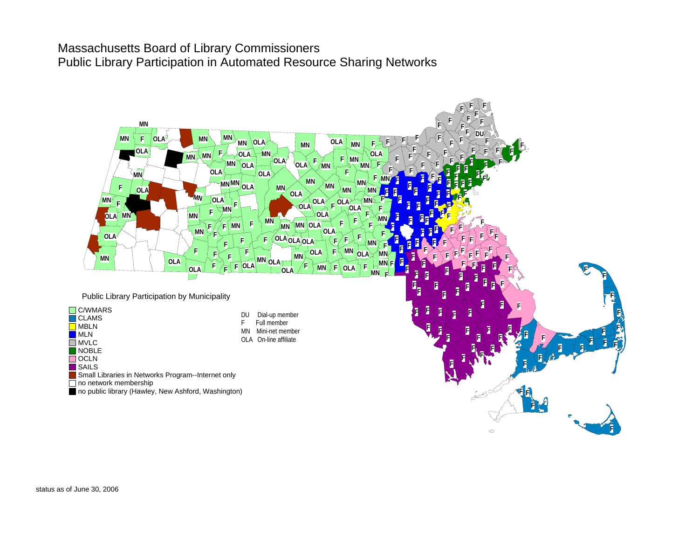#### Massachusetts Board of Library Commissioners Public Library Participation in Automated Resource Sharing Networks

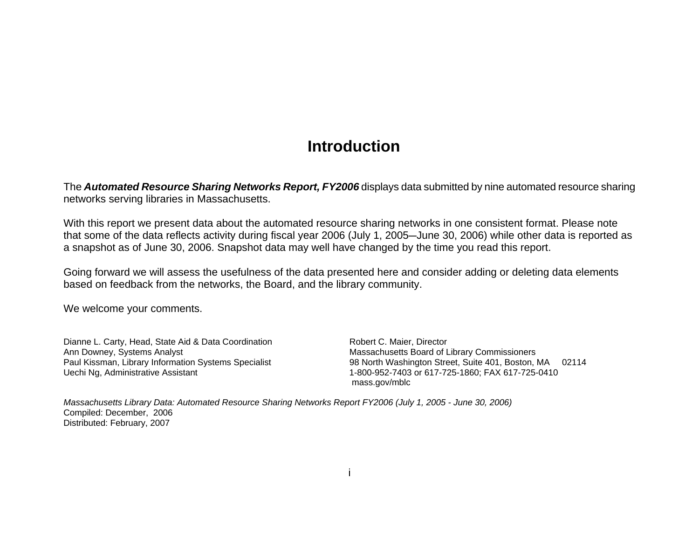### **Introduction**

The *Automated Resource Sharing Networks Report, FY2006* displays data submitted by nine automated resource sharing networks serving libraries in Massachusetts.

With this report we present data about the automated resource sharing networks in one consistent format. Please note that some of the data reflects activity during fiscal year 2006 (July 1, 2005-June 30, 2006) while other data is reported as a snapshot as of June 30, 2006. Snapshot data may well have changed by the time you read this report.

Going forward we will assess the usefulness of the data presented here and consider adding or deleting data elements based on feedback from the networks, the Board, and the library community.

We welcome your comments.

Dianne L. Carty, Head, State Aid & Data Coordination **Robert C. Maier, Director** Ann Downey, Systems Analyst **Ann** Downey, Systems Analyst Ann Downey, Systems Analyst Massachusetts Board of Library Commissioners<br>Paul Kissman, Library Information Systems Specialist 98 North Washington Street, Suite 401, Boston, I Uechi Ng, Administrative Assistant 1-800-952-7403 or 617-725-1860; FAX 617-725-0410

98 North Washington Street, Suite 401, Boston, MA 02114 mass.gov/mblc

*Massachusetts Library Data: Automated Resource Sharing Networks Report FY2006 (July 1, 2005 - June 30, 2006)* Compiled: December, 2006 Distributed: February, 2007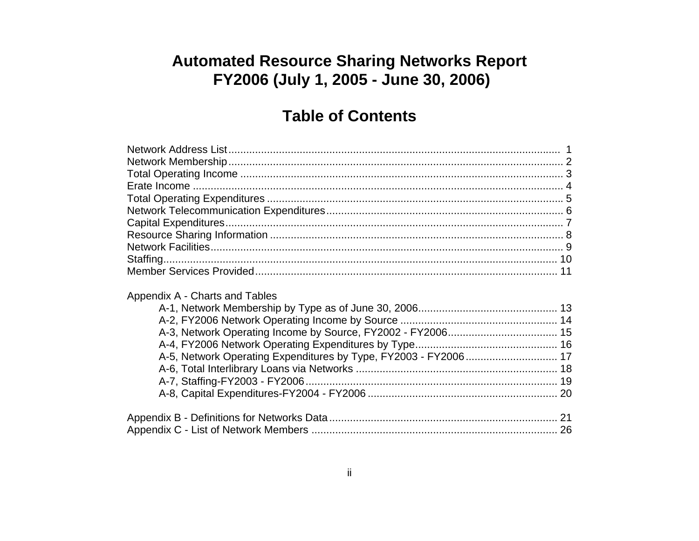### **Automated Resource Sharing Networks Report** FY2006 (July 1, 2005 - June 30, 2006)

### **Table of Contents**

| Appendix A - Charts and Tables<br>A-5, Network Operating Expenditures by Type, FY2003 - FY2006 17 |
|---------------------------------------------------------------------------------------------------|
|                                                                                                   |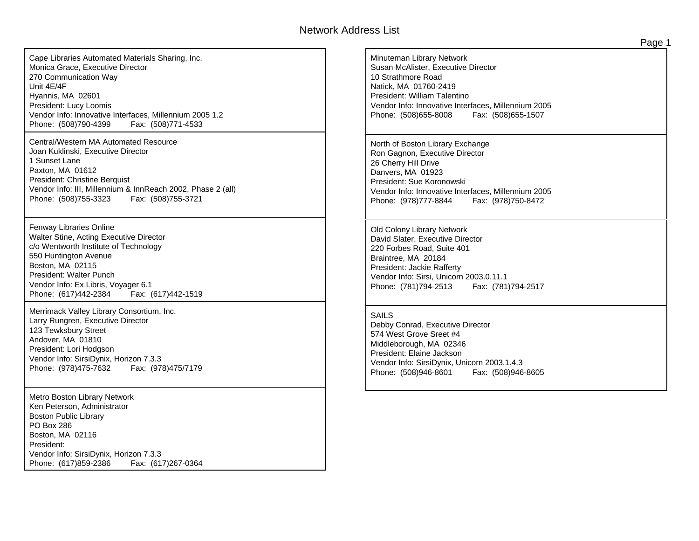#### Network Address List

Cape Libraries Automated Materials Sharing, Inc. Monica Grace, Executive Director 270 Communication Way Unit 4E/4FHyannis, MA 02601 President: Lucy Loomis Vendor Info: Innovative Interfaces, Millennium 2005 1.2 Phone: (508)790-4399 Fax: (508)771-4533

Central/Western MA Automated ResourceJoan Kuklinski, Executive Director 1 Sunset LanePaxton, MA 01612 President: Christine Berquist Vendor Info: III, Millennium & InnReach 2002, Phase 2 (all) Phone: (508)755-3323 Fax: (508)755-3721

Fenway Libraries Online Walter Stine, Acting Executive Director c/o Wentworth Institute of Technology 550 Huntington Avenue Boston, MA 02115 President: Walter Punch Vendor Info: Ex Libris, Voyager 6.1 Phone: (617)442-2384 Fax: (617)442-1519

Merrimack Valley Library Consortium, Inc. Larry Rungren, Executive Director 123 Tewksbury Street Andover, MA 01810 President: Lori Hodgson Vendor Info: SirsiDynix, Horizon 7.3.3 Phone: (978)475-7632 Fax: (978)475/7179

Metro Boston Library Network Ken Peterson, Administrator Boston Public Library PO Box 286Boston, MA 02116 President: Vendor Info: SirsiDynix, Horizon 7.3.3 Phone: (617)859-2386 Fax: (617)267-0364 Minuteman Library Network Susan McAlister, Executive Director 10 Strathmore RoadNatick, MA 01760-2419 President: William Talentino Vendor Info: Innovative Interfaces, Millennium 2005 Phone: (508)655-8008 Fax: (508)655-1507 North of Boston Library Exchange Ron Gagnon, Executive Director 26 Cherry Hill Drive Danvers, MA 01923 President: Sue Koronowski Vendor Info: Innovative Interfaces, Millennium 2005 Phone: (978)777-8844 Fax: (978)750-8472 Old Colony Library Network David Slater, Executive Director 220 Forbes Road, Suite 401 Braintree, MA 20184 President: Jackie Rafferty Vendor Info: Sirsi, Unicorn 2003.0.11.1 Phone: (781)794-2513 Fax: (781)794-2517 SAILSDebby Conrad, Executive Director 574 West Grove Sreet #4Middleborough, MA 02346 President: Elaine Jackson Vendor Info: SirsiDynix, Unicorn 2003.1.4.3 Phone: (508)946-8601 Fax: (508)946-8605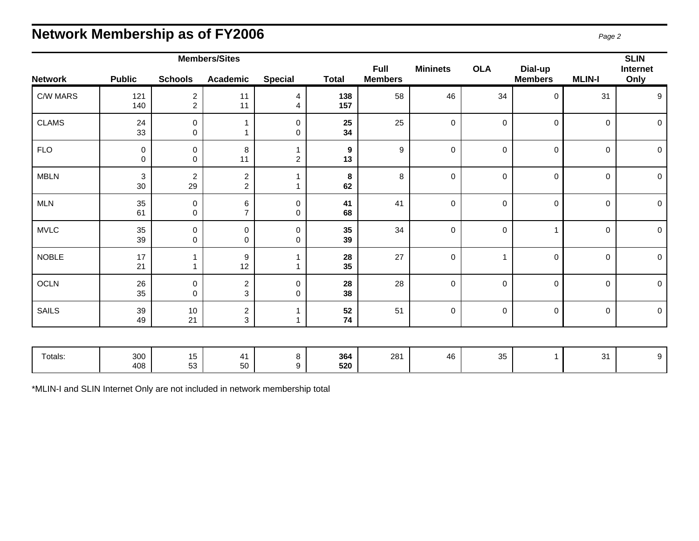### **Network Membership as of FY2006** *Page 2*

|                |                                 |                                  | <b>Members/Sites</b>             |                     |                        |                               |                 |              |                           |               | <b>SLIN</b>         |
|----------------|---------------------------------|----------------------------------|----------------------------------|---------------------|------------------------|-------------------------------|-----------------|--------------|---------------------------|---------------|---------------------|
| <b>Network</b> | <b>Public</b>                   | <b>Schools</b>                   | <b>Academic</b>                  | <b>Special</b>      | <b>Total</b>           | <b>Full</b><br><b>Members</b> | <b>Mininets</b> | <b>OLA</b>   | Dial-up<br><b>Members</b> | <b>MLIN-I</b> | Internet<br>Only    |
| C/W MARS       | 121<br>140                      | $\overline{c}$<br>$\overline{2}$ | 11<br>11                         | 4<br>4              | 138<br>157             | 58                            | 46              | 34           | $\Omega$                  | 31            | 9                   |
| <b>CLAMS</b>   | 24<br>33                        | $\mathbf 0$<br>0                 |                                  | $\mathbf 0$<br>0    | 25<br>34               | 25                            | $\mathbf 0$     | $\mathbf 0$  | $\mathbf 0$               | $\mathbf 0$   | $\mathbf 0$         |
| <b>FLO</b>     | $\pmb{0}$<br>$\mathbf 0$        | 0<br>0                           | 8<br>11                          | 1<br>$\overline{c}$ | $\boldsymbol{9}$<br>13 | 9                             | $\mathbf 0$     | $\mathbf 0$  | $\mathbf 0$               | $\mathbf 0$   | $\mathbf 0$         |
| <b>MBLN</b>    | $\ensuremath{\mathsf{3}}$<br>30 | $\boldsymbol{2}$<br>29           | $\overline{c}$<br>$\overline{a}$ | 1                   | $\bf 8$<br>62          | 8                             | $\mathbf 0$     | $\mathbf 0$  | $\mathbf 0$               | $\mathbf 0$   | $\mathbf 0$         |
| <b>MLN</b>     | 35<br>61                        | $\pmb{0}$<br>0                   | 6<br>7                           | 0<br>0              | 41<br>68               | 41                            | $\pmb{0}$       | $\mathbf 0$  | $\mathbf 0$               | $\pmb{0}$     | $\mathsf{O}$        |
| <b>MVLC</b>    | 35<br>39                        | $\pmb{0}$<br>0                   | $\pmb{0}$<br>0                   | 0<br>0              | 35<br>39               | 34                            | $\pmb{0}$       | $\,0\,$      | 1                         | $\pmb{0}$     | $\pmb{0}$           |
| <b>NOBLE</b>   | 17<br>21                        | 1<br>1                           | $\boldsymbol{9}$<br>12           | 1<br>1              | 28<br>35               | 27                            | $\pmb{0}$       | $\mathbf{1}$ | 0                         | 0             | $\mathsf{O}\xspace$ |
| OCLN           | 26<br>35                        | 0<br>0                           | $\overline{c}$<br>3              | $\mathsf 0$<br>0    | 28<br>38               | 28                            | $\pmb{0}$       | $\mathbf 0$  | $\mathbf 0$               | $\pmb{0}$     | $\mathsf{O}$        |
| <b>SAILS</b>   | 39<br>49                        | 10<br>21                         | $\overline{c}$<br>3              | 1                   | 52<br>74               | 51                            | $\pmb{0}$       | $\pmb{0}$    | $\mathbf 0$               | $\pmb{0}$     | $\mathsf{O}$        |
|                |                                 |                                  |                                  |                     |                        |                               |                 |              |                           |               |                     |
| Totals:        | 300<br>408                      | 15<br>53                         | 41<br>50                         | 8<br>9              | 364<br>520             | 281                           | 46              | 35           | 1                         | 31            | $9\,$               |

\*MLIN-I and SLIN Internet Only are not included in network membership total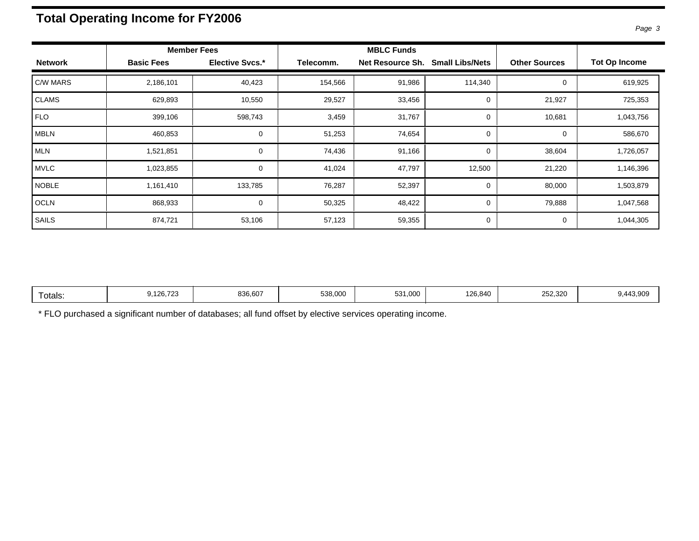### **Total Operating Income for FY2006**

|  | r<br>ı |  |
|--|--------|--|
|--|--------|--|

|                |                   | <b>Member Fees</b>     |           | <b>MBLC Funds</b> |                        |                      |                      |
|----------------|-------------------|------------------------|-----------|-------------------|------------------------|----------------------|----------------------|
| <b>Network</b> | <b>Basic Fees</b> | <b>Elective Svcs.*</b> | Telecomm. | Net Resource Sh.  | <b>Small Libs/Nets</b> | <b>Other Sources</b> | <b>Tot Op Income</b> |
| C/W MARS       | 2,186,101         | 40,423                 | 154,566   | 91,986            | 114,340                | 0                    | 619,925              |
| <b>CLAMS</b>   | 629,893           | 10,550                 | 29,527    | 33,456            | 0                      | 21,927               | 725,353              |
| <b>FLO</b>     | 399,106           | 598,743                | 3,459     | 31,767            | 0                      | 10,681               | 1,043,756            |
| <b>MBLN</b>    | 460,853           | 0                      | 51,253    | 74,654            | 0                      | 0                    | 586,670              |
| <b>MLN</b>     | 1,521,851         | $\mathbf 0$            | 74,436    | 91,166            | 0                      | 38,604               | 1,726,057            |
| <b>MVLC</b>    | 1,023,855         | $\mathbf 0$            | 41,024    | 47,797            | 12,500                 | 21,220               | 1,146,396            |
| <b>NOBLE</b>   | 1,161,410         | 133,785                | 76,287    | 52,397            | 0                      | 80,000               | 1,503,879            |
| <b>OCLN</b>    | 868,933           | $\mathbf 0$            | 50,325    | 48,422            | 0                      | 79,888               | 1,047,568            |
| SAILS          | 874,721           | 53,106                 | 57,123    | 59,355            | 0                      | 0                    | 1,044,305            |

|  | otals: | 100.70<br>J.120.723<br>$\sim$ | 836,607 | 538,000 | 531.000 | 126,840 | 252,320<br>$\sim$ $\sim$ | 43.909<br>$\overline{\phantom{a}}$ |
|--|--------|-------------------------------|---------|---------|---------|---------|--------------------------|------------------------------------|
|--|--------|-------------------------------|---------|---------|---------|---------|--------------------------|------------------------------------|

\* FLO purchased a significant number of databases; all fund offset by elective services operating income.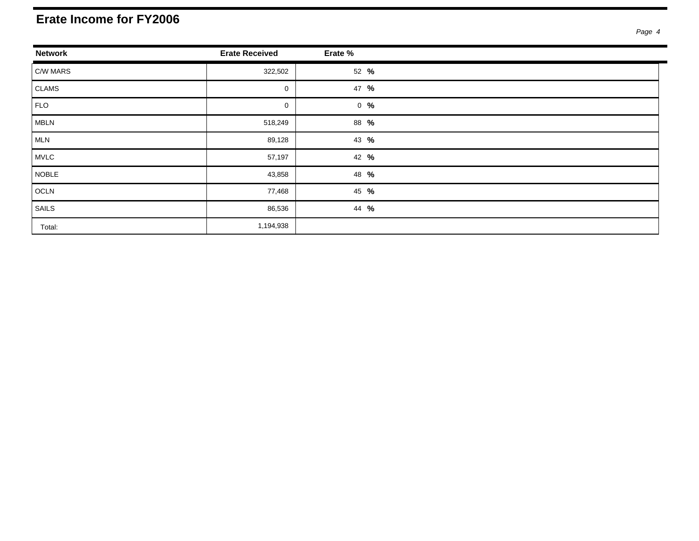#### **Erate Income for FY2006**

| <b>Network</b> | <b>Erate Received</b> | Erate %           |  |
|----------------|-----------------------|-------------------|--|
| C/W MARS       | 322,502               | 52 %              |  |
| CLAMS          | $\mathbf 0$           | 47 %              |  |
| FLO            | 0                     | $0 - \frac{9}{6}$ |  |
| MBLN           | 518,249               | 88 %              |  |
| MLN            | 89,128                | 43 %              |  |
| MVLC           | 57,197                | 42 %              |  |
| NOBLE          | 43,858                | 48 %              |  |
| OCLN           | 77,468                | 45 %              |  |
| SAILS          | 86,536                | 44 %              |  |
| Total:         | 1,194,938             |                   |  |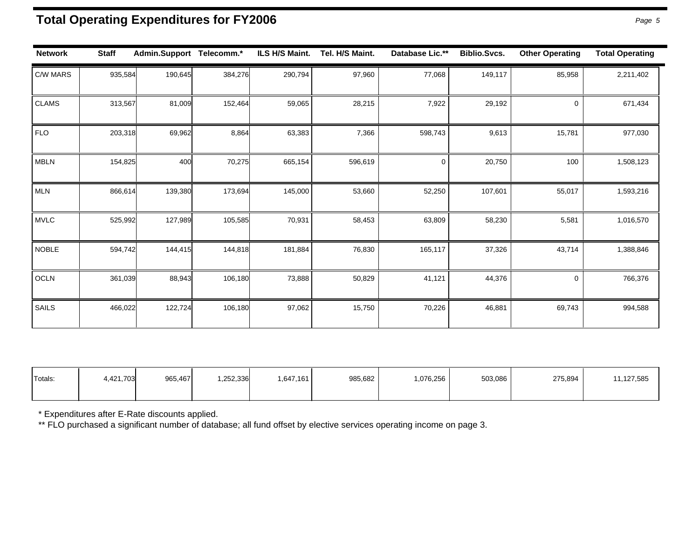### **Total Operating Expenditures for FY2006** *Page 5*

| <b>Network</b> | <b>Staff</b> | Admin.Support Telecomm.* |         | ILS H/S Maint. | Tel. H/S Maint. | Database Lic.** | <b>Biblio.Svcs.</b> | <b>Other Operating</b> | <b>Total Operating</b> |
|----------------|--------------|--------------------------|---------|----------------|-----------------|-----------------|---------------------|------------------------|------------------------|
| C/W MARS       | 935,584      | 190,645                  | 384,276 | 290,794        | 97,960          | 77,068          | 149,117             | 85,958                 | 2,211,402              |
| <b>CLAMS</b>   | 313,567      | 81,009                   | 152,464 | 59,065         | 28,215          | 7,922           | 29,192              | 0                      | 671,434                |
| <b>FLO</b>     | 203,318      | 69,962                   | 8,864   | 63,383         | 7,366           | 598,743         | 9,613               | 15,781                 | 977,030                |
| <b>MBLN</b>    | 154,825      | 400                      | 70,275  | 665,154        | 596,619         | $\mathbf 0$     | 20,750              | 100                    | 1,508,123              |
| <b>MLN</b>     | 866,614      | 139,380                  | 173,694 | 145,000        | 53,660          | 52,250          | 107,601             | 55,017                 | 1,593,216              |
| <b>MVLC</b>    | 525,992      | 127,989                  | 105,585 | 70,931         | 58,453          | 63,809          | 58,230              | 5,581                  | 1,016,570              |
| <b>NOBLE</b>   | 594,742      | 144,415                  | 144,818 | 181,884        | 76,830          | 165,117         | 37,326              | 43,714                 | 1,388,846              |
| OCLN           | 361,039      | 88,943                   | 106,180 | 73,888         | 50,829          | 41,121          | 44,376              | 0                      | 766,376                |
| SAILS          | 466,022      | 122,724                  | 106,180 | 97,062         | 15,750          | 70,226          | 46,881              | 69,743                 | 994,588                |

| Totals: | 4,421,703 | 965,467 | .252,336 | .647,161 | 985,682 | .076,256 | 503,086 | 275,894 | 1,127,585 |
|---------|-----------|---------|----------|----------|---------|----------|---------|---------|-----------|
|         |           |         |          |          |         |          |         |         |           |

\* Expenditures after E-Rate discounts applied.

\*\* FLO purchased a significant number of database; all fund offset by elective services operating income on page 3.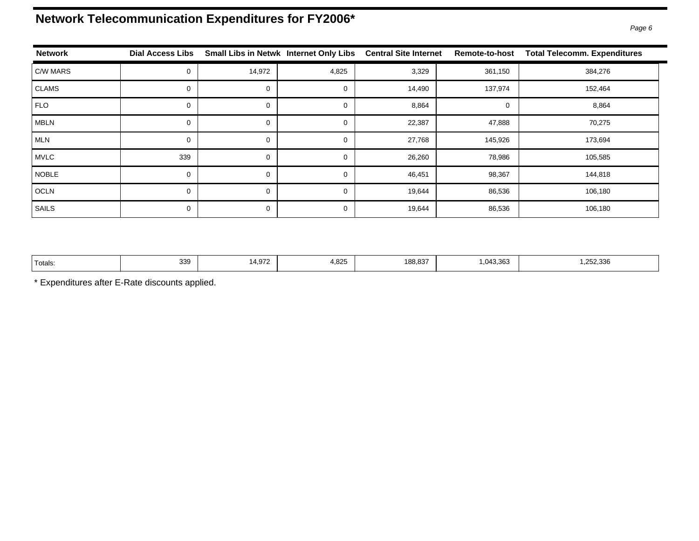### **Network Telecommunication Expenditures for FY2006\***

| <b>Network</b> | <b>Dial Access Libs</b> |          | Small Libs in Netwk Internet Only Libs | <b>Central Site Internet</b> | <b>Remote-to-host</b> | <b>Total Telecomm. Expenditures</b> |
|----------------|-------------------------|----------|----------------------------------------|------------------------------|-----------------------|-------------------------------------|
| C/W MARS       | 0                       | 14,972   | 4,825                                  | 3,329                        | 361,150               | 384,276                             |
| <b>CLAMS</b>   | 0                       | 0        |                                        | 14,490                       | 137,974               | 152,464                             |
| <b>FLO</b>     | 0                       | 0        |                                        | 8,864                        | $\mathbf 0$           | 8,864                               |
| <b>MBLN</b>    | 0                       | 0        |                                        | 22,387                       | 47,888                | 70,275                              |
| <b>MLN</b>     | 0                       | 0        |                                        | 27,768                       | 145,926               | 173,694                             |
| <b>MVLC</b>    | 339                     | $\Omega$ |                                        | 26,260                       | 78,986                | 105,585                             |
| <b>NOBLE</b>   | 0                       | $\Omega$ |                                        | 46,451                       | 98,367                | 144,818                             |
| <b>OCLN</b>    | 0                       | 0        |                                        | 19,644                       | 86,536                | 106,180                             |
| SAILS          | 0                       | 0        |                                        | 19,644                       | 86,536                | 106,180                             |

| 'Totals: | 339 | $14.97^{\circ}$ | 4,825 | 188.837 | .043.363<br>. | .252.336 |
|----------|-----|-----------------|-------|---------|---------------|----------|
|----------|-----|-----------------|-------|---------|---------------|----------|

\* Expenditures after E-Rate discounts applied.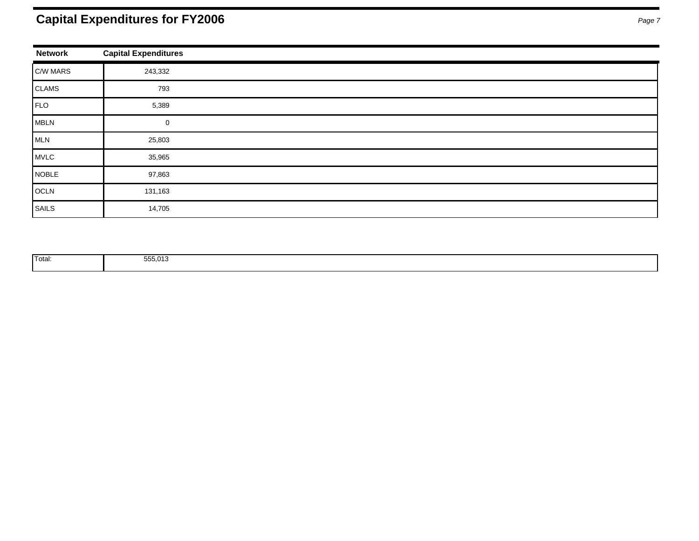### **Capital Expenditures for FY2006** *Page 7*

| <b>Network</b> | <b>Capital Expenditures</b> |
|----------------|-----------------------------|
| C/W MARS       | 243,332                     |
| CLAMS          | 793                         |
| FLO            | 5,389                       |
| MBLN           | 0                           |
| MLN            | 25,803                      |
| MVLC           | 35,965                      |
| NOBLE          | 97,863                      |
| OCLN           | 131,163                     |
| SAILS          | 14,705                      |

| <b>Total:</b> | FEE 040<br><b>333,013</b><br>. |  |
|---------------|--------------------------------|--|
|               |                                |  |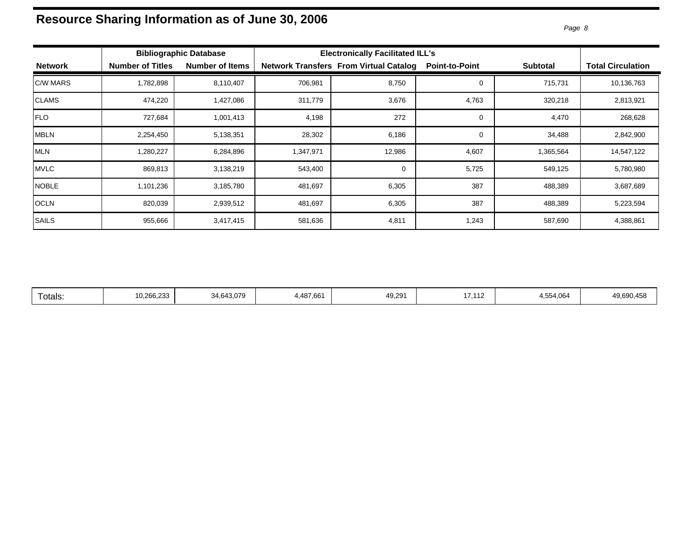## Resource Sharing Information as of June 30, 2006<br> *Page 8*

|                |                         | <b>Bibliographic Database</b> | <b>Electronically Facilitated ILL's</b> |                                               |                       |                 |                          |
|----------------|-------------------------|-------------------------------|-----------------------------------------|-----------------------------------------------|-----------------------|-----------------|--------------------------|
| <b>Network</b> | <b>Number of Titles</b> | <b>Number of Items</b>        |                                         | <b>Network Transfers From Virtual Catalog</b> | <b>Point-to-Point</b> | <b>Subtotal</b> | <b>Total Circulation</b> |
| C/W MARS       | 1,782,898               | 8,110,407                     | 706,981                                 | 8,750                                         |                       | 715,731         | 10,136,763               |
| CLAMS          | 474,220                 | 1,427,086                     | 311,779                                 | 3,676                                         | 4,763                 | 320,218         | 2,813,921                |
| <b>FLO</b>     | 727,684                 | 1,001,413                     | 4,198                                   | 272                                           | 0                     | 4,470           | 268,628                  |
| <b>MBLN</b>    | 2,254,450               | 5,138,351                     | 28,302                                  | 6,186                                         |                       | 34,488          | 2,842,900                |
| MLN            | 1,280,227               | 6,284,896                     | 1,347,971                               | 12,986                                        | 4,607                 | 1,365,564       | 14,547,122               |
| MVLC           | 869,813                 | 3,138,219                     | 543,400                                 | 0                                             | 5,725                 | 549,125         | 5,780,980                |
| <b>NOBLE</b>   | 1,101,236               | 3,185,780                     | 481,697                                 | 6,305                                         | 387                   | 488,389         | 3,687,689                |
| OCLN           | 820,039                 | 2,939,512                     | 481,697                                 | 6,305                                         | 387                   | 488,389         | 5,223,594                |
| <b>SAILS</b>   | 955,666                 | 3,417,415                     | 581,636                                 | 4,811                                         | 1,243                 | 587,690         | 4,388,861                |

| 49,291<br>10.266.233<br>34.643.079<br>17110<br>4,554,064<br>4,487,661<br>49.690.458<br>otals:<br>ے ا |
|------------------------------------------------------------------------------------------------------|
|------------------------------------------------------------------------------------------------------|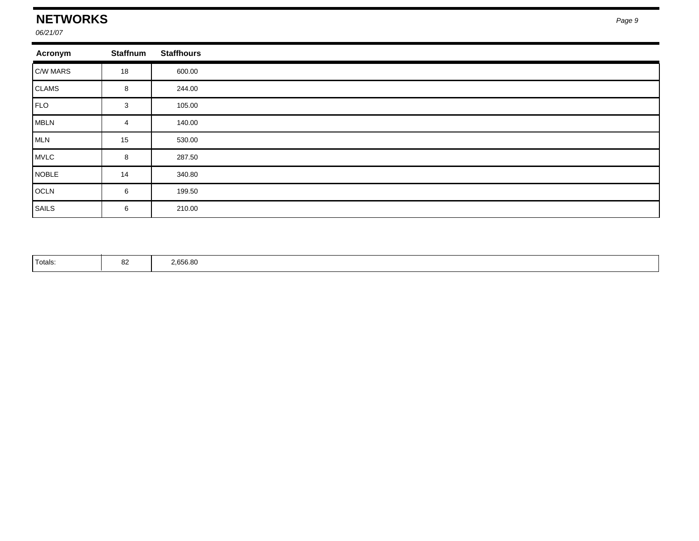### **NETWORKS**

*06/21/07*

| Acronym                      | <b>Staffnum</b> | <b>Staffhours</b> |  |
|------------------------------|-----------------|-------------------|--|
| $\mathsf{C}/\mathsf{W}$ MARS | 18              | 600.00            |  |
| CLAMS                        | 8               | 244.00            |  |
| FLO                          | 3               | 105.00            |  |
| MBLN                         | 4               | 140.00            |  |
| MLN                          | 15              | 530.00            |  |
| MVLC                         | 8               | 287.50            |  |
| NOBLE                        | 14              | 340.80            |  |
| OCLN                         | 6               | 199.50            |  |
| SAILS                        | 6               | 210.00            |  |

| <sup>1</sup> Totals: |  | 2,656.80 |  |
|----------------------|--|----------|--|
|----------------------|--|----------|--|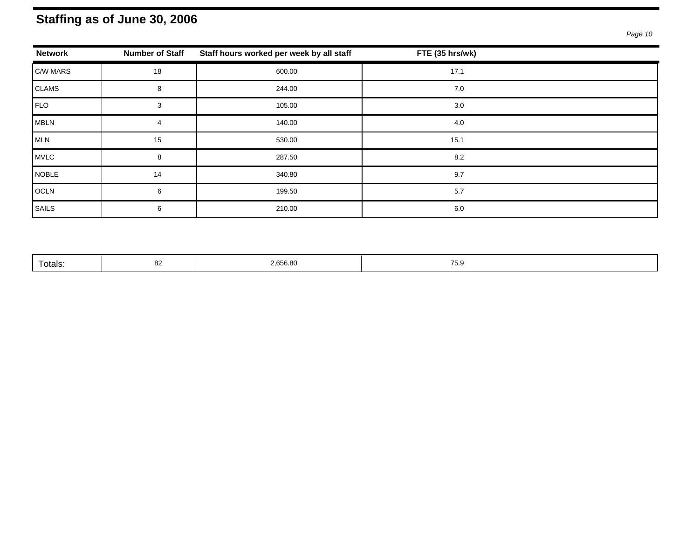### **Staffing as of June 30, 2006**

| <b>Network</b> | <b>Number of Staff</b> | Staff hours worked per week by all staff | FTE (35 hrs/wk) |  |
|----------------|------------------------|------------------------------------------|-----------------|--|
| C/W MARS       | 18                     | 600.00                                   | 17.1            |  |
| CLAMS          | 8                      | 244.00                                   | 7.0             |  |
| FLO            | 3                      | 105.00                                   | 3.0             |  |
| <b>MBLN</b>    | 4                      | 140.00                                   | 4.0             |  |
| <b>MLN</b>     | 15                     | 530.00                                   | 15.1            |  |
| MVLC           | 8                      | 287.50                                   | 8.2             |  |
| <b>NOBLE</b>   | 14                     | 340.80                                   | 9.7             |  |
| OCLN           | 6                      | 199.50                                   | 5.7             |  |
| SAILS          | 6                      | 210.00                                   | 6.0             |  |

| 2,656.80<br>$- -$<br>n,<br>Totals:<br>$\cdots$ |
|------------------------------------------------|
|------------------------------------------------|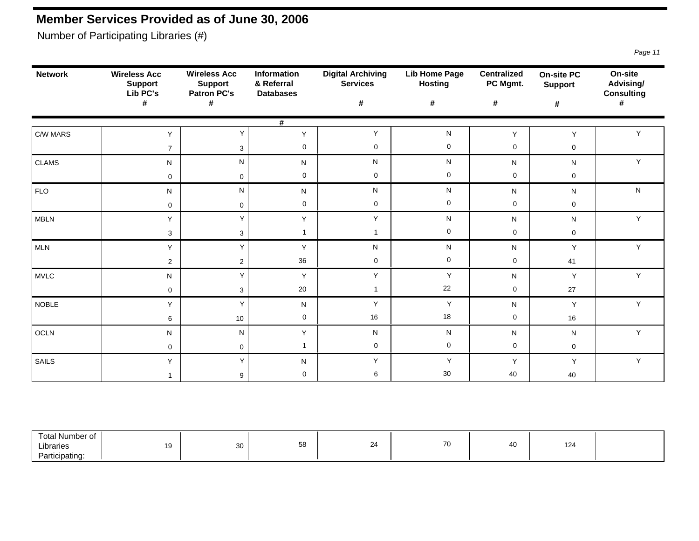### **Member Services Provided as of June 30, 2006**

Number of Participating Libraries (#)

| <b>Network</b>                                        | <b>Wireless Acc</b><br><b>Support</b><br>Lib PC's | <b>Wireless Acc</b><br>Information<br>& Referral<br><b>Support</b><br><b>Patron PC's</b><br><b>Databases</b> |              | <b>Digital Archiving</b><br><b>Services</b> | <b>Lib Home Page</b><br><b>Hosting</b> | <b>Centralized</b><br>PC Mgmt. | <b>On-site PC</b><br><b>Support</b> | On-site<br>Advising/<br><b>Consulting</b> |  |
|-------------------------------------------------------|---------------------------------------------------|--------------------------------------------------------------------------------------------------------------|--------------|---------------------------------------------|----------------------------------------|--------------------------------|-------------------------------------|-------------------------------------------|--|
|                                                       | #                                                 | #                                                                                                            |              | #                                           | $\pmb{\#}$                             | $\pmb{\#}$                     | $\pmb{\#}$                          | #                                         |  |
|                                                       |                                                   |                                                                                                              | #            |                                             |                                        |                                |                                     |                                           |  |
| C/W MARS                                              | Y                                                 | Υ                                                                                                            | Y            | Y                                           | ${\sf N}$                              | Y                              | Y                                   | Y                                         |  |
|                                                       | $\overline{7}$                                    | $\mathbf{3}$                                                                                                 | $\mathbf 0$  | $\mathbf 0$                                 | $\mathbf 0$                            | $\mathbf 0$                    | $\mathsf{O}\xspace$                 |                                           |  |
| <b>CLAMS</b>                                          | ${\sf N}$                                         | N                                                                                                            | N            | ${\sf N}$                                   | ${\sf N}$                              | N                              | N                                   | $\mathsf Y$                               |  |
|                                                       | $\mathbf 0$                                       | $\mathsf{O}\xspace$                                                                                          | $\mathbf 0$  | $\mathbf 0$                                 | $\mathbf 0$                            | $\mathbf 0$                    | $\mathsf{O}\xspace$                 |                                           |  |
| <b>FLO</b>                                            | ${\sf N}$                                         | $\mathsf{N}$                                                                                                 | N            | ${\sf N}$                                   | $\mathsf{N}$                           | N                              | N                                   | ${\sf N}$                                 |  |
|                                                       | $\mathsf{O}\xspace$                               | $\mathbf 0$                                                                                                  | $\mathbf 0$  | $\mathbf 0$                                 | $\mathbf 0$                            | $\mathbf 0$                    | $\mathsf{O}\xspace$                 |                                           |  |
| MBLN                                                  | Y                                                 | Y                                                                                                            | Y            | Y                                           | ${\sf N}$                              | N                              | N                                   | $\mathsf Y$                               |  |
|                                                       | $\mathbf{3}$                                      | 3                                                                                                            | $\mathbf{1}$ | $\mathbf{1}$                                | $\mathbf 0$                            | $\mathbf 0$                    | $\mathsf{O}\xspace$                 |                                           |  |
| <b>MLN</b>                                            | Y                                                 | Y                                                                                                            | Y            | ${\sf N}$                                   | ${\sf N}$                              | N                              | Y                                   | $\mathsf Y$                               |  |
|                                                       | $\overline{2}$                                    | $\overline{c}$                                                                                               | 36           | $\pmb{0}$                                   | $\mathbf 0$                            | $\mathbf 0$                    | 41                                  |                                           |  |
| <b>MVLC</b>                                           | ${\sf N}$                                         | Y                                                                                                            | Y            | $\mathsf Y$                                 | $\mathsf Y$                            | N                              | Y                                   | $\mathsf Y$                               |  |
|                                                       | $\mathbf 0$                                       | 3                                                                                                            | 20           | $\mathbf{1}$                                | 22                                     | $\mathbf 0$                    | 27                                  |                                           |  |
| NOBLE                                                 | Y                                                 | Y                                                                                                            | N            | $\mathsf{Y}$                                | Y                                      | N                              | Y                                   | $\mathsf Y$                               |  |
|                                                       | $\,6\,$                                           | 10                                                                                                           | $\mathbf 0$  | $16\,$                                      | 18                                     | $\mathbf 0$                    | 16                                  |                                           |  |
| OCLN                                                  | ${\sf N}$                                         | N                                                                                                            | Y            | ${\sf N}$                                   | ${\sf N}$                              | N                              | N                                   | $\mathsf{Y}$                              |  |
|                                                       | $\mathbf 0$                                       | $\mathbf 0$                                                                                                  | $\mathbf{1}$ | $\mathbf 0$                                 | $\mathbf 0$                            | $\mathbf 0$                    | $\mathsf{O}\xspace$                 |                                           |  |
| <b>SAILS</b>                                          | Y                                                 | Y                                                                                                            | N            | Y                                           | Y                                      | Y                              | Υ                                   | $\mathsf{Y}$                              |  |
|                                                       | $\mathbf{1}$                                      | 9                                                                                                            | $\mathbf 0$  | $\,6$                                       | 30 <sup>°</sup>                        | 40                             | 40                                  |                                           |  |
|                                                       |                                                   |                                                                                                              |              |                                             |                                        |                                |                                     |                                           |  |
|                                                       |                                                   |                                                                                                              |              |                                             |                                        |                                |                                     |                                           |  |
|                                                       |                                                   |                                                                                                              |              |                                             |                                        |                                |                                     |                                           |  |
| <b>Total Number of</b><br>Libraries<br>Participating: | 19                                                | $30\,$                                                                                                       | 58           | 24                                          | 70                                     | 40                             | 124                                 |                                           |  |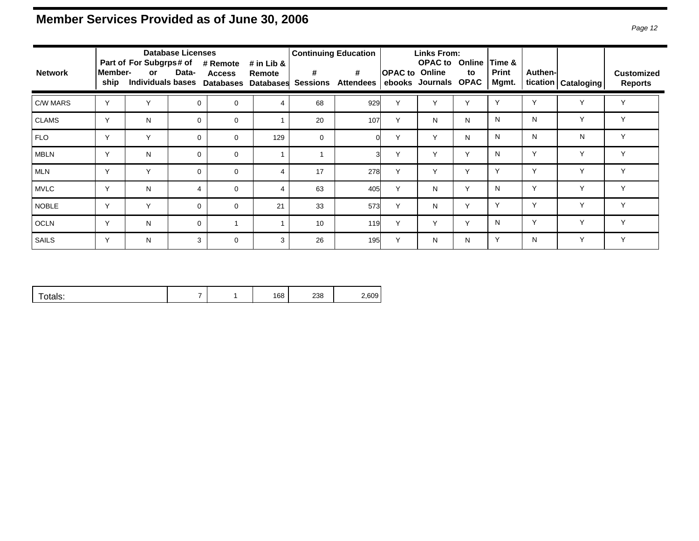### **Member Services Provided as of June 30, 2006** *Page 12*

| <b>Network</b> | Member-<br>ship | Part of For Subgrps# of<br>or. | <b>Database Licenses</b><br>Data- | # Remote<br><b>Access</b><br>Individuals bases Databases | # in Lib &<br>Remote<br><b>Databases</b> | #<br><b>Sessions</b> | <b>Continuing Education</b><br>$\#$<br><b>Attendees</b> | <b>OPAC to Online</b> | Links From:<br><b>OPAC to Online</b><br>ebooks Journals OPAC | to           | Time &<br><b>Print</b><br>Mgmt. | Authen-      | tication   Cataloging | <b>Customized</b><br><b>Reports</b> |
|----------------|-----------------|--------------------------------|-----------------------------------|----------------------------------------------------------|------------------------------------------|----------------------|---------------------------------------------------------|-----------------------|--------------------------------------------------------------|--------------|---------------------------------|--------------|-----------------------|-------------------------------------|
| C/W MARS       | $\vee$          | $\checkmark$                   | $\Omega$                          | $\mathbf 0$                                              | 4                                        | 68                   | 929                                                     | ν                     |                                                              |              |                                 |              |                       | Υ                                   |
| <b>CLAMS</b>   | $\sqrt{}$       | N                              | $\Omega$                          | $\mathbf 0$                                              |                                          | 20                   | 107                                                     | Y                     | N                                                            | N            | N                               | N            | Y                     | Y                                   |
| FLO            | $\sqrt{}$       | Y                              | $\Omega$                          | $\mathbf 0$                                              | 129                                      | $\mathbf 0$          |                                                         | Y                     | Y                                                            | N            | N                               | N            | N                     | Y                                   |
| <b>MBLN</b>    | $\checkmark$    | N                              | $\Omega$                          | $\mathbf 0$                                              |                                          |                      | ্ব                                                      | Y                     | Y                                                            | Y            | N                               | Y            | $\mathsf{v}$          | Y                                   |
| <b>MLN</b>     | $\vee$          | $\checkmark$                   | $\Omega$                          | $\mathbf 0$                                              | 4                                        | 17                   | 278                                                     | $\vee$                | v                                                            | $\checkmark$ | $\checkmark$                    | $\checkmark$ | $\checkmark$          | Y                                   |
| <b>MVLC</b>    | $\checkmark$    | N                              | 4                                 | $\mathbf 0$                                              | 4                                        | 63                   | 405                                                     | $\checkmark$          | N                                                            | $\checkmark$ | N                               | $\checkmark$ | $\sqrt{}$             | Y                                   |
| <b>NOBLE</b>   | $\vee$          | $\checkmark$                   | $\Omega$                          | $\mathbf 0$                                              | 21                                       | 33                   | 573                                                     | $\vee$                | N                                                            | Y            | $\checkmark$                    | $\checkmark$ | $\checkmark$          | Y                                   |
| <b>OCLN</b>    | $\vee$          | N                              | 0                                 |                                                          |                                          | 10                   | 119                                                     | Y                     | Y                                                            | Y            | N                               | $\checkmark$ | $\checkmark$          | Y                                   |
| SAILS          | $\vee$          | N                              | 3                                 | $\mathbf 0$                                              | 3                                        | 26                   | 195                                                     | Y                     | N                                                            | N            | Υ                               | N            | Y                     | Y                                   |

|  | - |  | 168 | סכר<br>_೨೧<br>-- | .609 |
|--|---|--|-----|------------------|------|
|--|---|--|-----|------------------|------|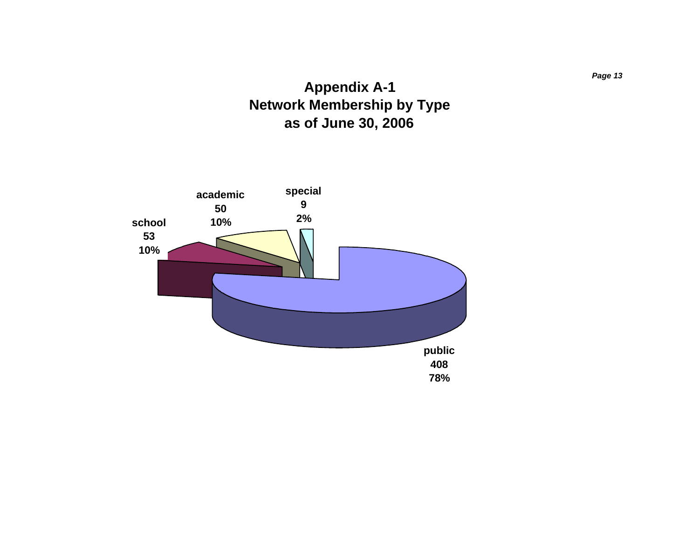### **Appendix A-1 Network Membership by Type as of June 30, 2006**

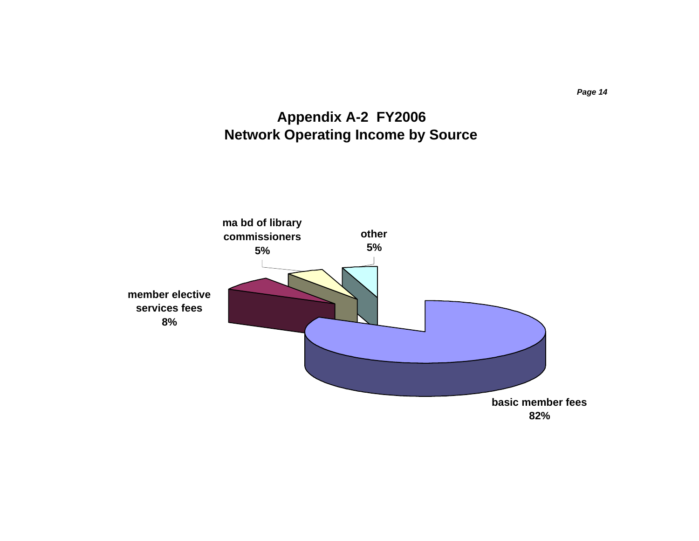

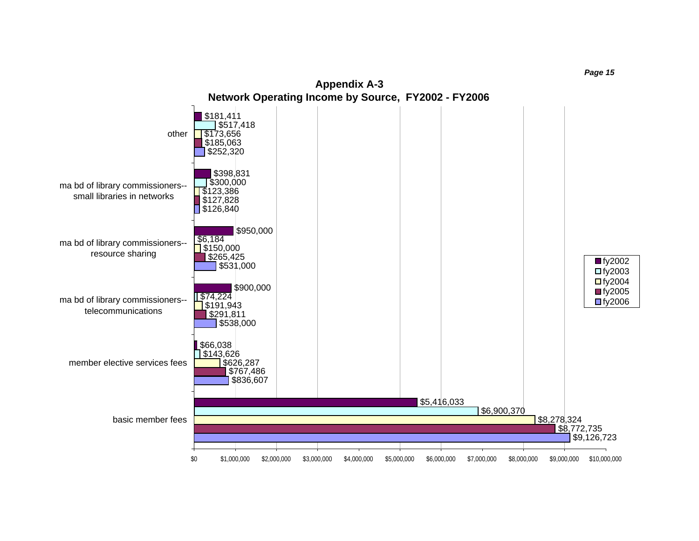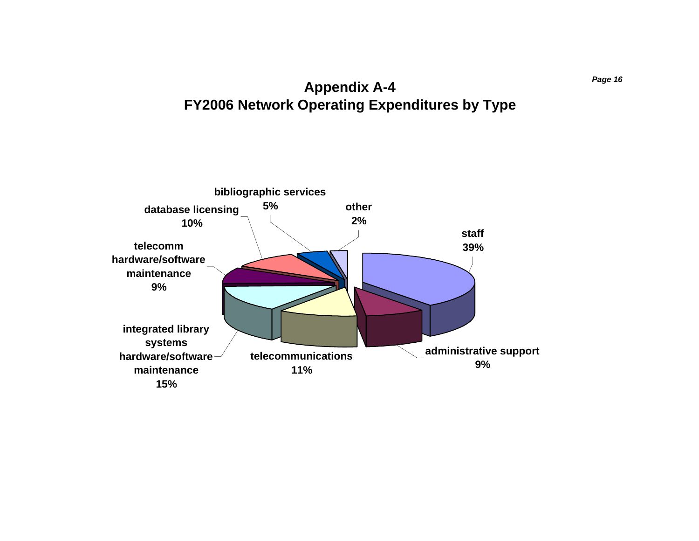### **Appendix A-4 FY2006 Network Operating Expenditures by Type**

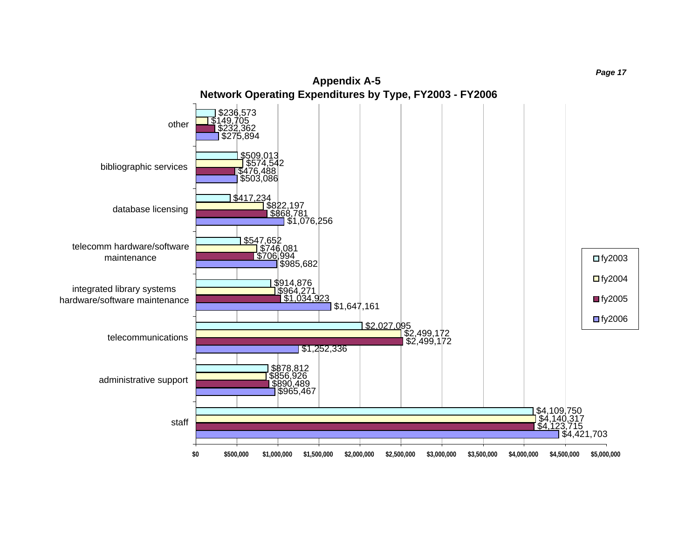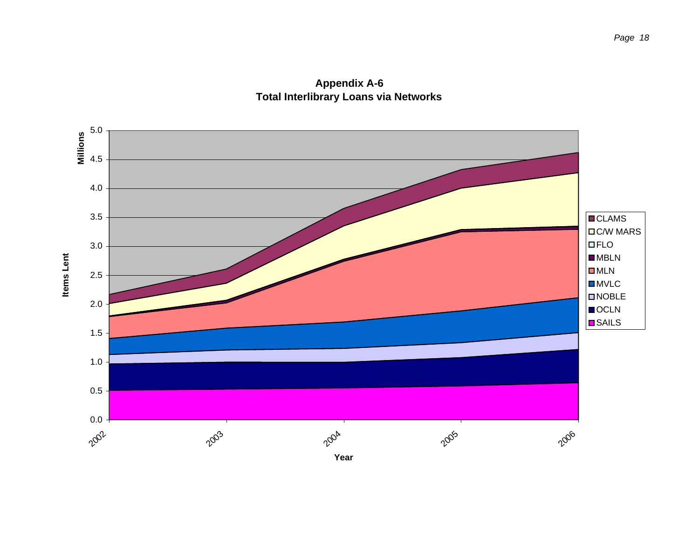**Appendix A-6 Total Interlibrary Loans via Networks**

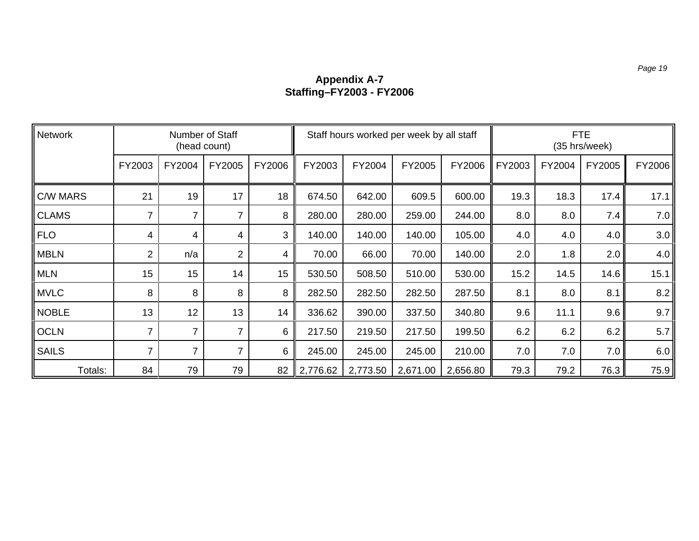#### **Appendix A-7 Staffing–FY2003 - FY2006**

| Network         | Number of Staff<br>(head count) |                |                |        | Staff hours worked per week by all staff |          |          |          | <b>FTE</b><br>(35 hrs/week) |        |                 |        |
|-----------------|---------------------------------|----------------|----------------|--------|------------------------------------------|----------|----------|----------|-----------------------------|--------|-----------------|--------|
|                 | FY2003                          | FY2004         | FY2005         | FY2006 | FY2003                                   | FY2004   | FY2005   | FY2006   | FY2003                      | FY2004 | FY2005          | FY2006 |
| <b>C/W MARS</b> | 21                              | 19             | 17             | 18     | 674.50                                   | 642.00   | 609.5    | 600.00   | 19.3                        | 18.3   | 17.4            | 17.1   |
| <b>CLAMS</b>    |                                 | $\overline{7}$ | 7              | 8      | 280.00                                   | 280.00   | 259.00   | 244.00   | 8.0                         | 8.0    | 7.4             | 7.0    |
| <b>FLO</b>      | 4                               | 4              | 4              | 3      | 140.00                                   | 140.00   | 140.00   | 105.00   | 4.0                         | 4.0    | $4.0 \parallel$ | 3.0    |
| <b>MBLN</b>     | $\overline{2}$                  | n/a            | $\overline{2}$ | 4      | 70.00                                    | 66.00    | 70.00    | 140.00   | 2.0                         | 1.8    | 2.0             | 4.0    |
| <b>MLN</b>      | 15                              | 15             | 14             | 15     | 530.50                                   | 508.50   | 510.00   | 530.00   | 15.2                        | 14.5   | 14.6            | 15.1   |
| <b>MVLC</b>     | 8                               | 8              | 8              | 8      | 282.50                                   | 282.50   | 282.50   | 287.50   | 8.1                         | 8.0    | 8.1             | 8.2    |
| <b>NOBLE</b>    | 13                              | 12             | 13             | 14     | 336.62                                   | 390.00   | 337.50   | 340.80   | 9.6                         | 11.1   | 9.6             | 9.7    |
| <b>OCLN</b>     |                                 | $\overline{7}$ | 7              | 6      | 217.50                                   | 219.50   | 217.50   | 199.50   | 6.2                         | 6.2    | 6.2             | 5.7    |
| <b>SAILS</b>    | 7                               | $\overline{7}$ | 7              | 6      | 245.00                                   | 245.00   | 245.00   | 210.00   | 7.0                         | 7.0    | 7.0             | 6.0    |
| Totals:         | 84                              | 79             | 79             | 82     | 2,776.62                                 | 2,773.50 | 2,671.00 | 2,656.80 | 79.3                        | 79.2   | 76.3            | 75.9   |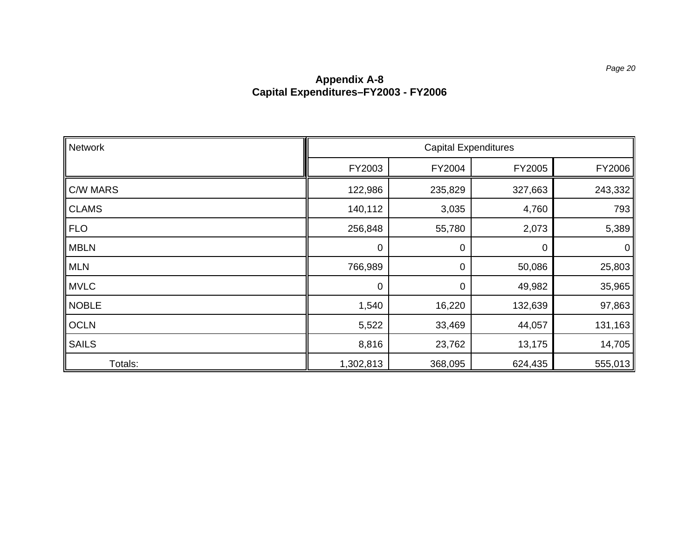#### **Appendix A-8 Capital Expenditures–FY2003 - FY2006**

| Network         | <b>Capital Expenditures</b> |         |         |             |  |  |
|-----------------|-----------------------------|---------|---------|-------------|--|--|
|                 | FY2003                      | FY2004  | FY2005  | FY2006      |  |  |
| <b>C/W MARS</b> | 122,986                     | 235,829 | 327,663 | 243,332     |  |  |
| <b>CLAMS</b>    | 140,112                     | 3,035   | 4,760   | 793         |  |  |
| <b>FLO</b>      | 256,848                     | 55,780  | 2,073   | 5,389       |  |  |
| <b>MBLN</b>     | 0                           | 0       | 0       | $\mathbf 0$ |  |  |
| <b>MLN</b>      | 766,989                     | 0       | 50,086  | 25,803      |  |  |
| <b>MVLC</b>     | 0                           | 0       | 49,982  | 35,965      |  |  |
| <b>NOBLE</b>    | 1,540                       | 16,220  | 132,639 | 97,863      |  |  |
| <b>OCLN</b>     | 5,522                       | 33,469  | 44,057  | 131,163     |  |  |
| <b>SAILS</b>    | 8,816                       | 23,762  | 13,175  | 14,705      |  |  |
| Totals:         | 1,302,813                   | 368,095 | 624,435 | 555,013     |  |  |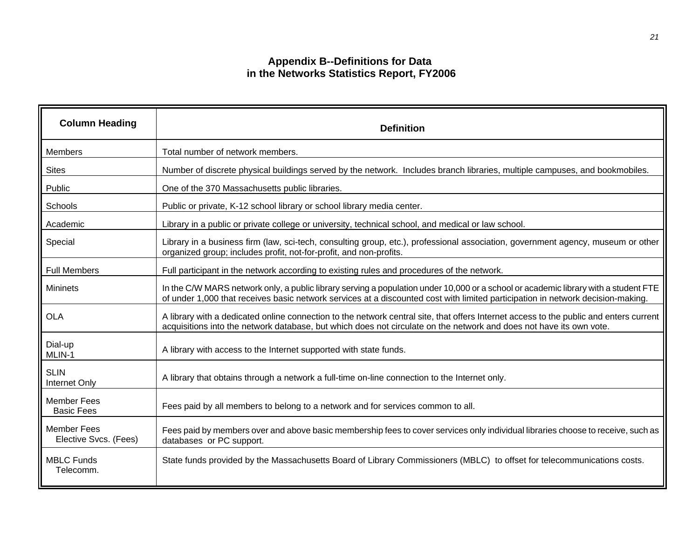#### **Appendix B--Definitions for Data in the Networks Statistics Report, FY2006**

| <b>Column Heading</b>                       | <b>Definition</b>                                                                                                                                                                                                                                                      |
|---------------------------------------------|------------------------------------------------------------------------------------------------------------------------------------------------------------------------------------------------------------------------------------------------------------------------|
| <b>Members</b>                              | Total number of network members.                                                                                                                                                                                                                                       |
| <b>Sites</b>                                | Number of discrete physical buildings served by the network. Includes branch libraries, multiple campuses, and bookmobiles.                                                                                                                                            |
| Public                                      | One of the 370 Massachusetts public libraries.                                                                                                                                                                                                                         |
| Schools                                     | Public or private, K-12 school library or school library media center.                                                                                                                                                                                                 |
| Academic                                    | Library in a public or private college or university, technical school, and medical or law school.                                                                                                                                                                     |
| Special                                     | Library in a business firm (law, sci-tech, consulting group, etc.), professional association, government agency, museum or other<br>organized group; includes profit, not-for-profit, and non-profits.                                                                 |
| <b>Full Members</b>                         | Full participant in the network according to existing rules and procedures of the network.                                                                                                                                                                             |
| <b>Mininets</b>                             | In the C/W MARS network only, a public library serving a population under 10,000 or a school or academic library with a student FTE<br>of under 1,000 that receives basic network services at a discounted cost with limited participation in network decision-making. |
| <b>OLA</b>                                  | A library with a dedicated online connection to the network central site, that offers Internet access to the public and enters current<br>acquisitions into the network database, but which does not circulate on the network and does not have its own vote.          |
| Dial-up<br>MLIN-1                           | A library with access to the Internet supported with state funds.                                                                                                                                                                                                      |
| <b>SLIN</b><br>Internet Only                | A library that obtains through a network a full-time on-line connection to the Internet only.                                                                                                                                                                          |
| <b>Member Fees</b><br><b>Basic Fees</b>     | Fees paid by all members to belong to a network and for services common to all.                                                                                                                                                                                        |
| <b>Member Fees</b><br>Elective Svcs. (Fees) | Fees paid by members over and above basic membership fees to cover services only individual libraries choose to receive, such as<br>databases or PC support.                                                                                                           |
| <b>MBLC Funds</b><br>Telecomm.              | State funds provided by the Massachusetts Board of Library Commissioners (MBLC) to offset for telecommunications costs.                                                                                                                                                |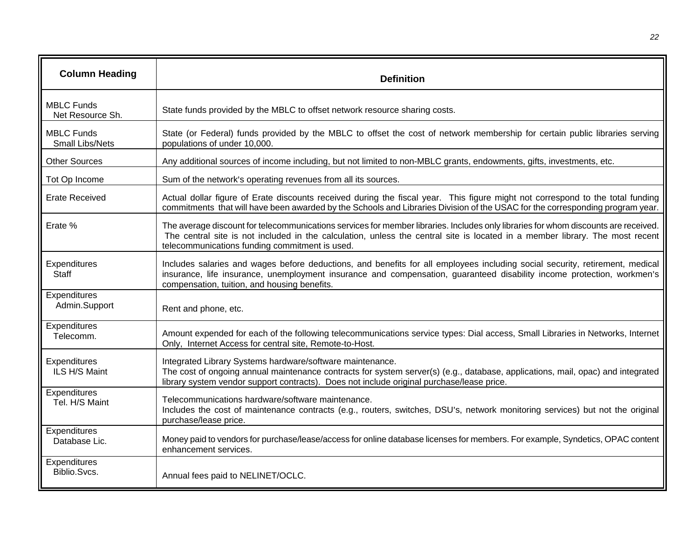| <b>Column Heading</b>                       | <b>Definition</b>                                                                                                                                                                                                                                                                                                     |
|---------------------------------------------|-----------------------------------------------------------------------------------------------------------------------------------------------------------------------------------------------------------------------------------------------------------------------------------------------------------------------|
| <b>MBLC Funds</b><br>Net Resource Sh.       | State funds provided by the MBLC to offset network resource sharing costs.                                                                                                                                                                                                                                            |
| <b>MBLC Funds</b><br><b>Small Libs/Nets</b> | State (or Federal) funds provided by the MBLC to offset the cost of network membership for certain public libraries serving<br>populations of under 10,000.                                                                                                                                                           |
| <b>Other Sources</b>                        | Any additional sources of income including, but not limited to non-MBLC grants, endowments, gifts, investments, etc.                                                                                                                                                                                                  |
| Tot Op Income                               | Sum of the network's operating revenues from all its sources.                                                                                                                                                                                                                                                         |
| <b>Erate Received</b>                       | Actual dollar figure of Erate discounts received during the fiscal year. This figure might not correspond to the total funding<br>commitments that will have been awarded by the Schools and Libraries Division of the USAC for the corresponding program year.                                                       |
| Erate %                                     | The average discount for telecommunications services for member libraries. Includes only libraries for whom discounts are received.<br>The central site is not included in the calculation, unless the central site is located in a member library. The most recent<br>telecommunications funding commitment is used. |
| Expenditures<br>Staff                       | Includes salaries and wages before deductions, and benefits for all employees including social security, retirement, medical<br>insurance, life insurance, unemployment insurance and compensation, guaranteed disability income protection, workmen's<br>compensation, tuition, and housing benefits.                |
| Expenditures<br>Admin.Support               | Rent and phone, etc.                                                                                                                                                                                                                                                                                                  |
| Expenditures<br>Telecomm.                   | Amount expended for each of the following telecommunications service types: Dial access, Small Libraries in Networks, Internet<br>Only, Internet Access for central site, Remote-to-Host.                                                                                                                             |
| Expenditures<br>ILS H/S Maint               | Integrated Library Systems hardware/software maintenance.<br>The cost of ongoing annual maintenance contracts for system server(s) (e.g., database, applications, mail, opac) and integrated<br>library system vendor support contracts). Does not include original purchase/lease price.                             |
| Expenditures<br>Tel. H/S Maint              | Telecommunications hardware/software maintenance.<br>Includes the cost of maintenance contracts (e.g., routers, switches, DSU's, network monitoring services) but not the original<br>purchase/lease price.                                                                                                           |
| Expenditures<br>Database Lic.               | Money paid to vendors for purchase/lease/access for online database licenses for members. For example, Syndetics, OPAC content<br>enhancement services.                                                                                                                                                               |
| Expenditures<br>Biblio.Svcs.                | Annual fees paid to NELINET/OCLC.                                                                                                                                                                                                                                                                                     |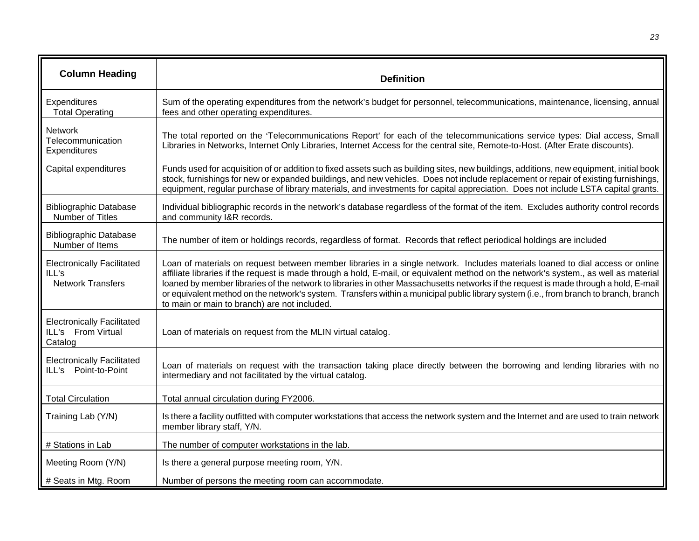| <b>Column Heading</b>                                                  | <b>Definition</b>                                                                                                                                                                                                                                                                                                                                                                                                                                                                                                                                                                                       |
|------------------------------------------------------------------------|---------------------------------------------------------------------------------------------------------------------------------------------------------------------------------------------------------------------------------------------------------------------------------------------------------------------------------------------------------------------------------------------------------------------------------------------------------------------------------------------------------------------------------------------------------------------------------------------------------|
| Expenditures<br><b>Total Operating</b>                                 | Sum of the operating expenditures from the network's budget for personnel, telecommunications, maintenance, licensing, annual<br>fees and other operating expenditures.                                                                                                                                                                                                                                                                                                                                                                                                                                 |
| <b>Network</b><br>Telecommunication<br>Expenditures                    | The total reported on the 'Telecommunications Report' for each of the telecommunications service types: Dial access, Small<br>Libraries in Networks, Internet Only Libraries, Internet Access for the central site, Remote-to-Host. (After Erate discounts).                                                                                                                                                                                                                                                                                                                                            |
| Capital expenditures                                                   | Funds used for acquisition of or addition to fixed assets such as building sites, new buildings, additions, new equipment, initial book<br>stock, furnishings for new or expanded buildings, and new vehicles. Does not include replacement or repair of existing furnishings,<br>equipment, regular purchase of library materials, and investments for capital appreciation. Does not include LSTA capital grants.                                                                                                                                                                                     |
| <b>Bibliographic Database</b><br>Number of Titles                      | Individual bibliographic records in the network's database regardless of the format of the item. Excludes authority control records<br>and community I&R records.                                                                                                                                                                                                                                                                                                                                                                                                                                       |
| <b>Bibliographic Database</b><br>Number of Items                       | The number of item or holdings records, regardless of format. Records that reflect periodical holdings are included                                                                                                                                                                                                                                                                                                                                                                                                                                                                                     |
| <b>Electronically Facilitated</b><br>ILL's<br><b>Network Transfers</b> | Loan of materials on request between member libraries in a single network. Includes materials loaned to dial access or online<br>affiliate libraries if the request is made through a hold, E-mail, or equivalent method on the network's system., as well as material<br>loaned by member libraries of the network to libraries in other Massachusetts networks if the request is made through a hold, E-mail<br>or equivalent method on the network's system. Transfers within a municipal public library system (i.e., from branch to branch, branch<br>to main or main to branch) are not included. |
| <b>Electronically Facilitated</b><br>ILL's From Virtual<br>Catalog     | Loan of materials on request from the MLIN virtual catalog.                                                                                                                                                                                                                                                                                                                                                                                                                                                                                                                                             |
| <b>Electronically Facilitated</b><br>ILL's Point-to-Point              | Loan of materials on request with the transaction taking place directly between the borrowing and lending libraries with no<br>intermediary and not facilitated by the virtual catalog.                                                                                                                                                                                                                                                                                                                                                                                                                 |
| <b>Total Circulation</b>                                               | Total annual circulation during FY2006.                                                                                                                                                                                                                                                                                                                                                                                                                                                                                                                                                                 |
| Training Lab (Y/N)                                                     | Is there a facility outfitted with computer workstations that access the network system and the Internet and are used to train network<br>member library staff, Y/N.                                                                                                                                                                                                                                                                                                                                                                                                                                    |
| # Stations in Lab                                                      | The number of computer workstations in the lab.                                                                                                                                                                                                                                                                                                                                                                                                                                                                                                                                                         |
| Meeting Room (Y/N)                                                     | Is there a general purpose meeting room, Y/N.                                                                                                                                                                                                                                                                                                                                                                                                                                                                                                                                                           |
| # Seats in Mtg. Room                                                   | Number of persons the meeting room can accommodate.                                                                                                                                                                                                                                                                                                                                                                                                                                                                                                                                                     |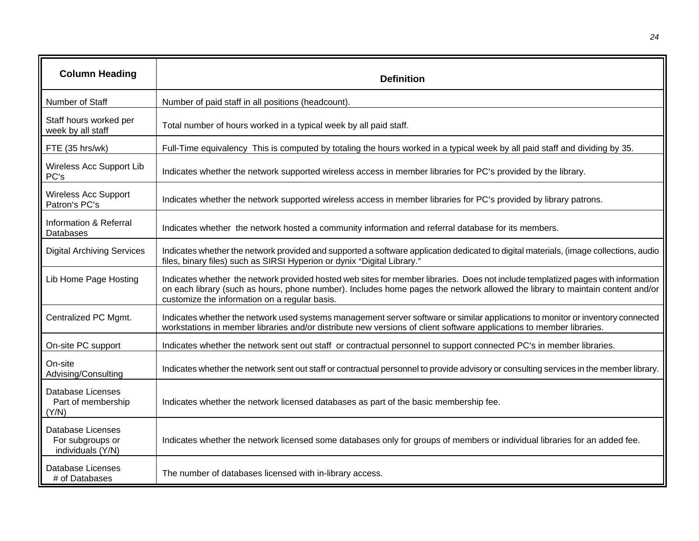| <b>Column Heading</b>                                             | <b>Definition</b>                                                                                                                                                                                                                                                                                                   |
|-------------------------------------------------------------------|---------------------------------------------------------------------------------------------------------------------------------------------------------------------------------------------------------------------------------------------------------------------------------------------------------------------|
| Number of Staff                                                   | Number of paid staff in all positions (headcount).                                                                                                                                                                                                                                                                  |
| Staff hours worked per<br>week by all staff                       | Total number of hours worked in a typical week by all paid staff.                                                                                                                                                                                                                                                   |
| FTE (35 hrs/wk)                                                   | Full-Time equivalency This is computed by totaling the hours worked in a typical week by all paid staff and dividing by 35.                                                                                                                                                                                         |
| Wireless Acc Support Lib<br>PC's                                  | Indicates whether the network supported wireless access in member libraries for PC's provided by the library.                                                                                                                                                                                                       |
| <b>Wireless Acc Support</b><br>Patron's PC's                      | Indicates whether the network supported wireless access in member libraries for PC's provided by library patrons.                                                                                                                                                                                                   |
| Information & Referral<br>Databases                               | Indicates whether the network hosted a community information and referral database for its members.                                                                                                                                                                                                                 |
| <b>Digital Archiving Services</b>                                 | Indicates whether the network provided and supported a software application dedicated to digital materials, (image collections, audio<br>files, binary files) such as SIRSI Hyperion or dynix "Digital Library."                                                                                                    |
| Lib Home Page Hosting                                             | Indicates whether the network provided hosted web sites for member libraries. Does not include templatized pages with information<br>on each library (such as hours, phone number). Includes home pages the network allowed the library to maintain content and/or<br>customize the information on a regular basis. |
| Centralized PC Mgmt.                                              | Indicates whether the network used systems management server software or similar applications to monitor or inventory connected<br>workstations in member libraries and/or distribute new versions of client software applications to member libraries.                                                             |
| On-site PC support                                                | Indicates whether the network sent out staff or contractual personnel to support connected PC's in member libraries.                                                                                                                                                                                                |
| On-site<br>Advising/Consulting                                    | Indicates whether the network sent out staff or contractual personnel to provide advisory or consulting services in the member library.                                                                                                                                                                             |
| Database Licenses<br>Part of membership<br>(Y/N)                  | Indicates whether the network licensed databases as part of the basic membership fee.                                                                                                                                                                                                                               |
| <b>Database Licenses</b><br>For subgroups or<br>individuals (Y/N) | Indicates whether the network licensed some databases only for groups of members or individual libraries for an added fee.                                                                                                                                                                                          |
| <b>Database Licenses</b><br># of Databases                        | The number of databases licensed with in-library access.                                                                                                                                                                                                                                                            |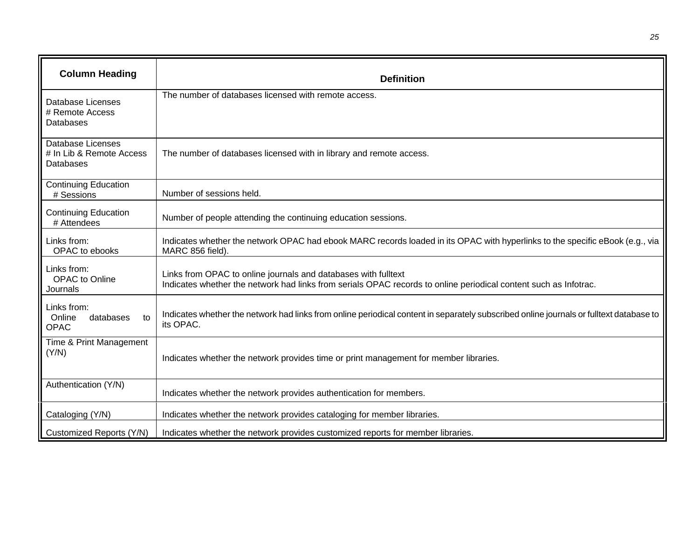| <b>Column Heading</b>                                      | <b>Definition</b>                                                                                                                                                                  |
|------------------------------------------------------------|------------------------------------------------------------------------------------------------------------------------------------------------------------------------------------|
| Database Licenses<br># Remote Access<br>Databases          | The number of databases licensed with remote access.                                                                                                                               |
| Database Licenses<br># In Lib & Remote Access<br>Databases | The number of databases licensed with in library and remote access.                                                                                                                |
| <b>Continuing Education</b><br># Sessions                  | Number of sessions held.                                                                                                                                                           |
| <b>Continuing Education</b><br># Attendees                 | Number of people attending the continuing education sessions.                                                                                                                      |
| Links from:<br>OPAC to ebooks                              | Indicates whether the network OPAC had ebook MARC records loaded in its OPAC with hyperlinks to the specific eBook (e.g., via<br>MARC 856 field).                                  |
| Links from:<br>OPAC to Online<br>Journals                  | Links from OPAC to online journals and databases with fulltext<br>Indicates whether the network had links from serials OPAC records to online periodical content such as Infotrac. |
| Links from:<br>databases<br>Online<br>to<br><b>OPAC</b>    | Indicates whether the network had links from online periodical content in separately subscribed online journals or fulltext database to<br>its OPAC.                               |
| Time & Print Management<br>(Y/N)                           | Indicates whether the network provides time or print management for member libraries.                                                                                              |
| Authentication (Y/N)                                       | Indicates whether the network provides authentication for members.                                                                                                                 |
| Cataloging (Y/N)                                           | Indicates whether the network provides cataloging for member libraries.                                                                                                            |
| Customized Reports (Y/N)                                   | Indicates whether the network provides customized reports for member libraries.                                                                                                    |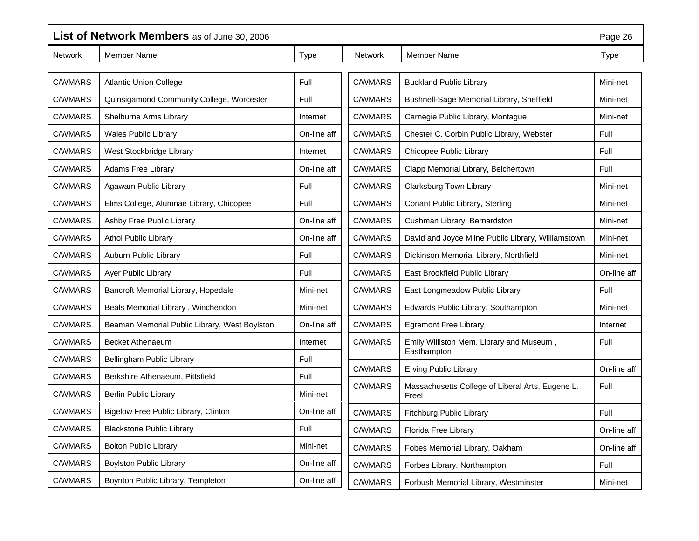|                | List of Network Members as of June 30, 2006<br>Page 26 |             |         |                                                           |             |
|----------------|--------------------------------------------------------|-------------|---------|-----------------------------------------------------------|-------------|
| <b>Network</b> | <b>Member Name</b>                                     | Type        | Network | Member Name                                               | Type        |
| C/WMARS        | <b>Atlantic Union College</b>                          | Full        | C/WMARS | <b>Buckland Public Library</b>                            | Mini-net    |
|                |                                                        |             |         |                                                           |             |
| C/WMARS        | Quinsigamond Community College, Worcester              | Full        | C/WMARS | Bushnell-Sage Memorial Library, Sheffield                 | Mini-net    |
| C/WMARS        | Shelburne Arms Library                                 | Internet    | C/WMARS | Carnegie Public Library, Montague                         | Mini-net    |
| C/WMARS        | <b>Wales Public Library</b>                            | On-line aff | C/WMARS | Chester C. Corbin Public Library, Webster                 | Full        |
| C/WMARS        | West Stockbridge Library                               | Internet    | C/WMARS | Chicopee Public Library                                   | Full        |
| C/WMARS        | Adams Free Library                                     | On-line aff | C/WMARS | Clapp Memorial Library, Belchertown                       | Full        |
| C/WMARS        | Agawam Public Library                                  | Full        | C/WMARS | Clarksburg Town Library                                   | Mini-net    |
| C/WMARS        | Elms College, Alumnae Library, Chicopee                | Full        | C/WMARS | Conant Public Library, Sterling                           | Mini-net    |
| C/WMARS        | Ashby Free Public Library                              | On-line aff | C/WMARS | Cushman Library, Bernardston                              | Mini-net    |
| C/WMARS        | <b>Athol Public Library</b>                            | On-line aff | C/WMARS | David and Joyce Milne Public Library, Williamstown        | Mini-net    |
| C/WMARS        | Auburn Public Library                                  | Full        | C/WMARS | Dickinson Memorial Library, Northfield                    | Mini-net    |
| C/WMARS        | Ayer Public Library                                    | Full        | C/WMARS | East Brookfield Public Library                            | On-line aff |
| C/WMARS        | Bancroft Memorial Library, Hopedale                    | Mini-net    | C/WMARS | East Longmeadow Public Library                            | Full        |
| C/WMARS        | Beals Memorial Library, Winchendon                     | Mini-net    | C/WMARS | Edwards Public Library, Southampton                       | Mini-net    |
| C/WMARS        | Beaman Memorial Public Library, West Boylston          | On-line aff | C/WMARS | <b>Egremont Free Library</b>                              | Internet    |
| C/WMARS        | <b>Becket Athenaeum</b>                                | Internet    | C/WMARS | Emily Williston Mem. Library and Museum,                  | Full        |
| C/WMARS        | Bellingham Public Library                              | Full        |         | Easthampton                                               |             |
| C/WMARS        | Berkshire Athenaeum, Pittsfield                        | Full        | C/WMARS | <b>Erving Public Library</b>                              | On-line aff |
| C/WMARS        | <b>Berlin Public Library</b>                           | Mini-net    | C/WMARS | Massachusetts College of Liberal Arts, Eugene L.<br>Freel | Full        |
| C/WMARS        | Bigelow Free Public Library, Clinton                   | On-line aff | C/WMARS | <b>Fitchburg Public Library</b>                           | Full        |
| C/WMARS        | <b>Blackstone Public Library</b>                       | Full        | C/WMARS | Florida Free Library                                      | On-line aff |
| C/WMARS        | <b>Bolton Public Library</b>                           | Mini-net    | C/WMARS | Fobes Memorial Library, Oakham                            | On-line aff |
| C/WMARS        | <b>Boylston Public Library</b>                         | On-line aff | C/WMARS | Forbes Library, Northampton                               | Full        |
| C/WMARS        | Boynton Public Library, Templeton                      | On-line aff | C/WMARS | Forbush Memorial Library, Westminster                     | Mini-net    |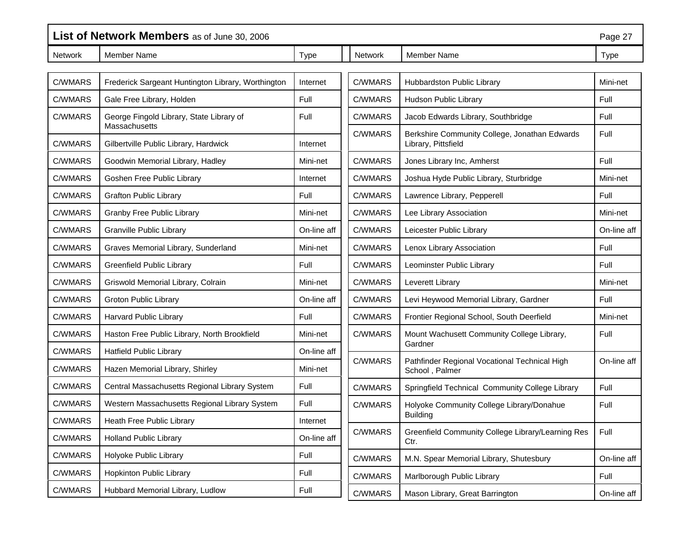| List of Network Members as of June 30, 2006 |                                                           |             |                |                                                                      | Page 27     |
|---------------------------------------------|-----------------------------------------------------------|-------------|----------------|----------------------------------------------------------------------|-------------|
| Network                                     | Member Name                                               | <b>Type</b> | Network        | <b>Member Name</b>                                                   | <b>Type</b> |
|                                             |                                                           |             |                |                                                                      |             |
| C/WMARS                                     | Frederick Sargeant Huntington Library, Worthington        | Internet    | C/WMARS        | Hubbardston Public Library                                           | Mini-net    |
| C/WMARS                                     | Gale Free Library, Holden                                 | Full        | C/WMARS        | Hudson Public Library                                                | Full        |
| C/WMARS                                     | George Fingold Library, State Library of<br>Massachusetts | Full        | C/WMARS        | Jacob Edwards Library, Southbridge                                   | Full        |
| C/WMARS                                     | Gilbertville Public Library, Hardwick                     | Internet    | <b>C/WMARS</b> | Berkshire Community College, Jonathan Edwards<br>Library, Pittsfield | Full        |
| C/WMARS                                     | Goodwin Memorial Library, Hadley                          | Mini-net    | C/WMARS        | Jones Library Inc, Amherst                                           | Full        |
| C/WMARS                                     | Goshen Free Public Library                                | Internet    | C/WMARS        | Joshua Hyde Public Library, Sturbridge                               | Mini-net    |
| C/WMARS                                     | <b>Grafton Public Library</b>                             | Full        | C/WMARS        | Lawrence Library, Pepperell                                          | Full        |
| C/WMARS                                     | <b>Granby Free Public Library</b>                         | Mini-net    | C/WMARS        | Lee Library Association                                              | Mini-net    |
| C/WMARS                                     | <b>Granville Public Library</b>                           | On-line aff | C/WMARS        | Leicester Public Library                                             | On-line aff |
| C/WMARS                                     | Graves Memorial Library, Sunderland                       | Mini-net    | C/WMARS        | Lenox Library Association                                            | Full        |
| C/WMARS                                     | <b>Greenfield Public Library</b>                          | Full        | C/WMARS        | Leominster Public Library                                            | Full        |
| C/WMARS                                     | Griswold Memorial Library, Colrain                        | Mini-net    | C/WMARS        | Leverett Library                                                     | Mini-net    |
| C/WMARS                                     | <b>Groton Public Library</b>                              | On-line aff | C/WMARS        | Levi Heywood Memorial Library, Gardner                               | Full        |
| C/WMARS                                     | Harvard Public Library                                    | Full        | C/WMARS        | Frontier Regional School, South Deerfield                            | Mini-net    |
| C/WMARS                                     | Haston Free Public Library, North Brookfield              | Mini-net    | C/WMARS        | Mount Wachusett Community College Library,<br>Gardner                | Full        |
| C/WMARS                                     | <b>Hatfield Public Library</b>                            | On-line aff |                |                                                                      |             |
| C/WMARS                                     | Hazen Memorial Library, Shirley                           | Mini-net    | C/WMARS        | Pathfinder Regional Vocational Technical High<br>School, Palmer      | On-line aff |
| C/WMARS                                     | Central Massachusetts Regional Library System             | Full        | C/WMARS        | Springfield Technical Community College Library                      | Full        |
| C/WMARS                                     | Western Massachusetts Regional Library System             | Full        | C/WMARS        | Holyoke Community College Library/Donahue                            | Full        |
| C/WMARS                                     | Heath Free Public Library                                 | Internet    |                | <b>Building</b>                                                      |             |
| C/WMARS                                     | <b>Holland Public Library</b>                             | On-line aff | C/WMARS        | Greenfield Community College Library/Learning Res<br>Ctr.            | Full        |
| C/WMARS                                     | Holyoke Public Library                                    | Full        | C/WMARS        | M.N. Spear Memorial Library, Shutesbury                              | On-line aff |
| C/WMARS                                     | Hopkinton Public Library                                  | Full        | C/WMARS        | Marlborough Public Library                                           | Full        |
| C/WMARS                                     | Hubbard Memorial Library, Ludlow                          | Full        | C/WMARS        | Mason Library, Great Barrington                                      | On-line aff |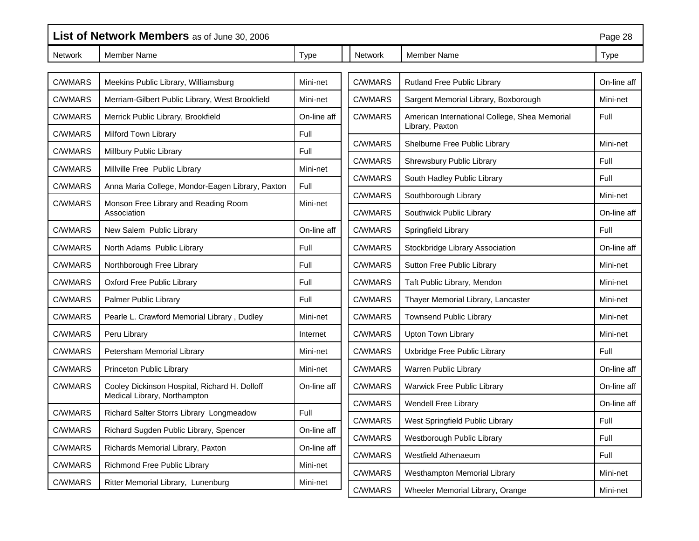|                | List of Network Members as of June 30, 2006      |             |                |                                                                  |             |
|----------------|--------------------------------------------------|-------------|----------------|------------------------------------------------------------------|-------------|
| Network        | <b>Member Name</b>                               | <b>Type</b> | <b>Network</b> | <b>Member Name</b>                                               | <b>Type</b> |
| C/WMARS        | Meekins Public Library, Williamsburg             | Mini-net    | C/WMARS        | Rutland Free Public Library                                      | On-line aff |
| C/WMARS        | Merriam-Gilbert Public Library, West Brookfield  | Mini-net    | C/WMARS        | Sargent Memorial Library, Boxborough                             | Mini-net    |
| C/WMARS        | Merrick Public Library, Brookfield               | On-line aff | C/WMARS        | American International College, Shea Memorial<br>Library, Paxton | Full        |
| C/WMARS        | Milford Town Library                             | Full        | C/WMARS        |                                                                  | Mini-net    |
| C/WMARS        | Millbury Public Library                          | Full        |                | Shelburne Free Public Library                                    |             |
| C/WMARS        | Millville Free Public Library                    | Mini-net    | C/WMARS        | Shrewsbury Public Library                                        | Full        |
| C/WMARS        | Anna Maria College, Mondor-Eagen Library, Paxton | Full        | C/WMARS        | South Hadley Public Library                                      | Full        |
| <b>C/WMARS</b> | Monson Free Library and Reading Room             | Mini-net    | C/WMARS        | Southborough Library                                             | Mini-net    |
|                | Association                                      |             | C/WMARS        | Southwick Public Library                                         | On-line aff |
| C/WMARS        | New Salem Public Library                         | On-line aff | C/WMARS        | Springfield Library                                              | Full        |
| C/WMARS        | North Adams Public Library                       | Full        | C/WMARS        | Stockbridge Library Association                                  | On-line aff |
| C/WMARS        | Northborough Free Library                        | Full        | C/WMARS        | Sutton Free Public Library                                       | Mini-net    |
| C/WMARS        | Oxford Free Public Library                       | Full        | C/WMARS        | Taft Public Library, Mendon                                      | Mini-net    |
| C/WMARS        | Palmer Public Library                            | Full        | C/WMARS        | Thayer Memorial Library, Lancaster                               | Mini-net    |
| C/WMARS        | Pearle L. Crawford Memorial Library, Dudley      | Mini-net    | C/WMARS        | <b>Townsend Public Library</b>                                   | Mini-net    |
| C/WMARS        | Peru Library                                     | Internet    | C/WMARS        | Upton Town Library                                               | Mini-net    |
| <b>C/WMARS</b> | Petersham Memorial Library                       | Mini-net    | C/WMARS        | Uxbridge Free Public Library                                     | Full        |
| C/WMARS        | Princeton Public Library                         | Mini-net    | C/WMARS        | Warren Public Library                                            | On-line aff |
| C/WMARS        | Cooley Dickinson Hospital, Richard H. Dolloff    | On-line aff | C/WMARS        | <b>Warwick Free Public Library</b>                               | On-line aff |
|                | Medical Library, Northampton                     |             | C/WMARS        | <b>Wendell Free Library</b>                                      | On-line aff |
| C/WMARS        | Richard Salter Storrs Library Longmeadow         | Full        | C/WMARS        | West Springfield Public Library                                  | Full        |
| C/WMARS        | Richard Sugden Public Library, Spencer           | On-line aff | C/WMARS        | Westborough Public Library                                       | Full        |
| C/WMARS        | Richards Memorial Library, Paxton                | On-line aff | C/WMARS        | Westfield Athenaeum                                              | Full        |
| C/WMARS        | Richmond Free Public Library                     | Mini-net    | C/WMARS        | Westhampton Memorial Library                                     | Mini-net    |
| C/WMARS        | Ritter Memorial Library, Lunenburg               | Mini-net    | C/WMARS        | Wheeler Memorial Library, Orange                                 | Mini-net    |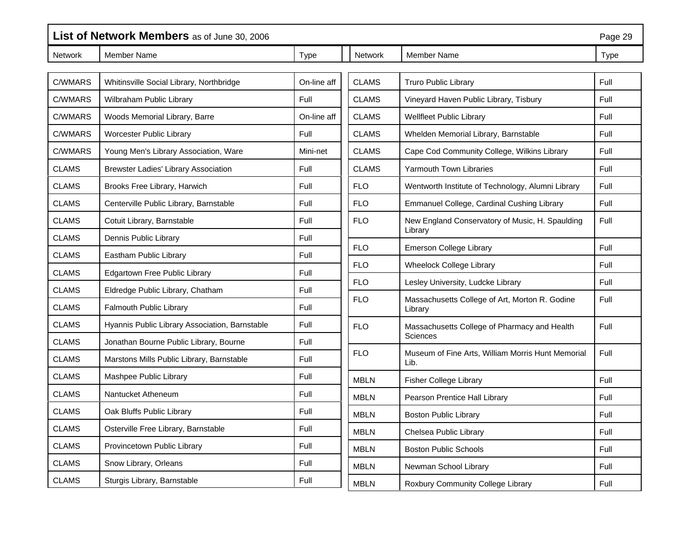|                | List of Network Members as of June 30, 2006<br>Page 29 |             |              |                                                            |             |
|----------------|--------------------------------------------------------|-------------|--------------|------------------------------------------------------------|-------------|
| <b>Network</b> | <b>Member Name</b>                                     | <b>Type</b> | Network      | Member Name                                                | <b>Type</b> |
|                |                                                        |             |              |                                                            |             |
| C/WMARS        | Whitinsville Social Library, Northbridge               | On-line aff | <b>CLAMS</b> | <b>Truro Public Library</b>                                | Full        |
| C/WMARS        | Wilbraham Public Library                               | Full        | <b>CLAMS</b> | Vineyard Haven Public Library, Tisbury                     | Full        |
| C/WMARS        | Woods Memorial Library, Barre                          | On-line aff | <b>CLAMS</b> | <b>Wellfleet Public Library</b>                            | Full        |
| C/WMARS        | Worcester Public Library                               | Full        | <b>CLAMS</b> | Whelden Memorial Library, Barnstable                       | Full        |
| C/WMARS        | Young Men's Library Association, Ware                  | Mini-net    | <b>CLAMS</b> | Cape Cod Community College, Wilkins Library                | Full        |
| <b>CLAMS</b>   | <b>Brewster Ladies' Library Association</b>            | Full        | <b>CLAMS</b> | Yarmouth Town Libraries                                    | Full        |
| <b>CLAMS</b>   | Brooks Free Library, Harwich                           | Full        | <b>FLO</b>   | Wentworth Institute of Technology, Alumni Library          | Full        |
| <b>CLAMS</b>   | Centerville Public Library, Barnstable                 | Full        | <b>FLO</b>   | Emmanuel College, Cardinal Cushing Library                 | Full        |
| <b>CLAMS</b>   | Cotuit Library, Barnstable                             | Full        | <b>FLO</b>   | New England Conservatory of Music, H. Spaulding<br>Library | Full        |
| <b>CLAMS</b>   | Dennis Public Library                                  | Full        |              |                                                            |             |
| <b>CLAMS</b>   | Eastham Public Library                                 | Full        | <b>FLO</b>   | <b>Emerson College Library</b>                             | Full        |
| <b>CLAMS</b>   | Edgartown Free Public Library                          | Full        | <b>FLO</b>   | Wheelock College Library                                   | Full        |
| <b>CLAMS</b>   | Eldredge Public Library, Chatham                       | Full        | <b>FLO</b>   | Lesley University, Ludcke Library                          | Full        |
| <b>CLAMS</b>   | Falmouth Public Library                                | Full        | <b>FLO</b>   | Massachusetts College of Art, Morton R. Godine<br>Library  | Full        |
| <b>CLAMS</b>   | Hyannis Public Library Association, Barnstable         | Full        | <b>FLO</b>   | Massachusetts College of Pharmacy and Health               | Full        |
| <b>CLAMS</b>   | Jonathan Bourne Public Library, Bourne                 | Full        |              | Sciences                                                   |             |
| <b>CLAMS</b>   | Marstons Mills Public Library, Barnstable              | Full        | <b>FLO</b>   | Museum of Fine Arts, William Morris Hunt Memorial<br>Lib.  | Full        |
| <b>CLAMS</b>   | Mashpee Public Library                                 | Full        | <b>MBLN</b>  | <b>Fisher College Library</b>                              | Full        |
| <b>CLAMS</b>   | Nantucket Atheneum                                     | Full        | <b>MBLN</b>  | Pearson Prentice Hall Library                              | Full        |
| <b>CLAMS</b>   | Oak Bluffs Public Library                              | Full        | <b>MBLN</b>  | <b>Boston Public Library</b>                               | Full        |
| <b>CLAMS</b>   | Osterville Free Library, Barnstable                    | Full        | <b>MBLN</b>  | Chelsea Public Library                                     | Full        |
| <b>CLAMS</b>   | Provincetown Public Library                            | Full        | <b>MBLN</b>  | <b>Boston Public Schools</b>                               | Full        |
| <b>CLAMS</b>   | Snow Library, Orleans                                  | Full        | <b>MBLN</b>  | Newman School Library                                      | Full        |
| <b>CLAMS</b>   | Sturgis Library, Barnstable                            | Full        | <b>MBLN</b>  | Roxbury Community College Library                          | Full        |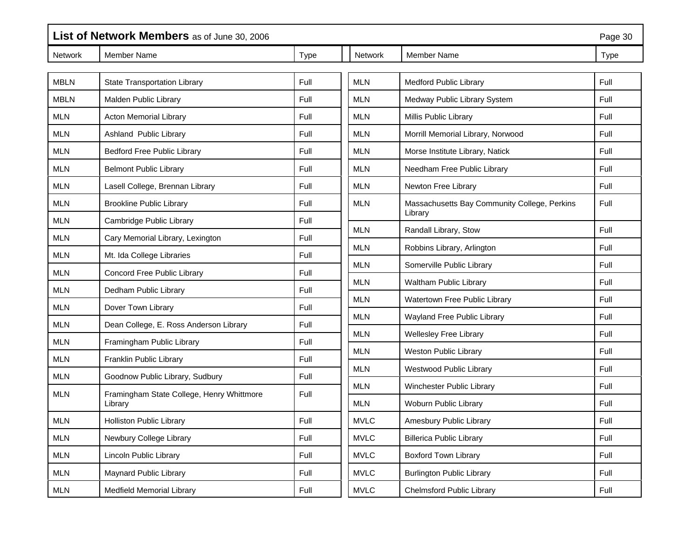| List of Network Members as of June 30, 2006 |                                           |             |             |                                                         | Page 30     |
|---------------------------------------------|-------------------------------------------|-------------|-------------|---------------------------------------------------------|-------------|
| <b>Network</b>                              | Member Name                               | <b>Type</b> | Network     | <b>Member Name</b>                                      | <b>Type</b> |
| <b>MBLN</b>                                 | State Transportation Library              | Full        | <b>MLN</b>  | <b>Medford Public Library</b>                           | Full        |
| <b>MBLN</b>                                 | Malden Public Library                     | Full        | <b>MLN</b>  | Medway Public Library System                            | Full        |
| <b>MLN</b>                                  | <b>Acton Memorial Library</b>             | Full        | <b>MLN</b>  | Millis Public Library                                   | Full        |
| <b>MLN</b>                                  | Ashland Public Library                    | Full        | <b>MLN</b>  | Morrill Memorial Library, Norwood                       | Full        |
| <b>MLN</b>                                  | <b>Bedford Free Public Library</b>        | Full        | <b>MLN</b>  | Morse Institute Library, Natick                         | Full        |
| <b>MLN</b>                                  | <b>Belmont Public Library</b>             | Full        | <b>MLN</b>  | Needham Free Public Library                             | Full        |
| <b>MLN</b>                                  | Lasell College, Brennan Library           | Full        | <b>MLN</b>  | Newton Free Library                                     | Full        |
| <b>MLN</b>                                  | <b>Brookline Public Library</b>           | Full        | <b>MLN</b>  | Massachusetts Bay Community College, Perkins<br>Library | Full        |
| <b>MLN</b>                                  | Cambridge Public Library                  | Full        | <b>MLN</b>  | Randall Library, Stow                                   | Full        |
| <b>MLN</b>                                  | Cary Memorial Library, Lexington          | Full        |             |                                                         |             |
| <b>MLN</b>                                  | Mt. Ida College Libraries                 | Full        | <b>MLN</b>  | Robbins Library, Arlington                              | Full        |
| <b>MLN</b>                                  | Concord Free Public Library               | Full        | <b>MLN</b>  | Somerville Public Library                               | Full        |
| <b>MLN</b>                                  | Dedham Public Library                     | Full        | <b>MLN</b>  | Waltham Public Library                                  | Full        |
| <b>MLN</b>                                  | Dover Town Library                        | Full        | <b>MLN</b>  | Watertown Free Public Library                           | Full        |
| <b>MLN</b>                                  | Dean College, E. Ross Anderson Library    | Full        | <b>MLN</b>  | Wayland Free Public Library                             | Full        |
| <b>MLN</b>                                  | Framingham Public Library                 | Full        | <b>MLN</b>  | <b>Wellesley Free Library</b>                           | Full        |
| <b>MLN</b>                                  | Franklin Public Library                   | Full        | <b>MLN</b>  | <b>Weston Public Library</b>                            | Full        |
| <b>MLN</b>                                  | Goodnow Public Library, Sudbury           | Full        | <b>MLN</b>  | Westwood Public Library                                 | Full        |
| <b>MLN</b>                                  | Framingham State College, Henry Whittmore | Full        | <b>MLN</b>  | Winchester Public Library                               | Full        |
|                                             | Library                                   |             | <b>MLN</b>  | Woburn Public Library                                   | Full        |
| <b>MLN</b>                                  | <b>Holliston Public Library</b>           | Full        | <b>MVLC</b> | Amesbury Public Library                                 | Full        |
| <b>MLN</b>                                  | Newbury College Library                   | Full        | <b>MVLC</b> | <b>Billerica Public Library</b>                         | Full        |
| <b>MLN</b>                                  | Lincoln Public Library                    | Full        | <b>MVLC</b> | <b>Boxford Town Library</b>                             | Full        |
| <b>MLN</b>                                  | Maynard Public Library                    | Full        | <b>MVLC</b> | <b>Burlington Public Library</b>                        | Full        |
| <b>MLN</b>                                  | <b>Medfield Memorial Library</b>          | Full        | <b>MVLC</b> | <b>Chelmsford Public Library</b>                        | Full        |

r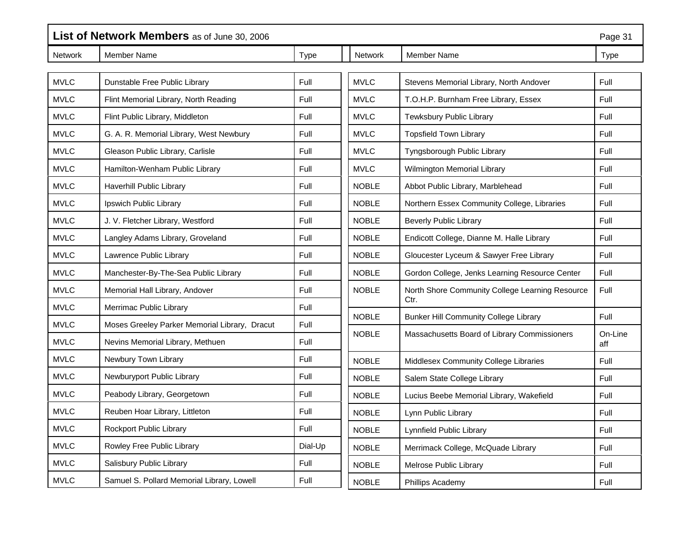|                | List of Network Members as of June 30, 2006<br>Page 31 |         |                |                                                         |                |
|----------------|--------------------------------------------------------|---------|----------------|---------------------------------------------------------|----------------|
| <b>Network</b> | <b>Member Name</b>                                     | Type    | <b>Network</b> | Member Name                                             | Type           |
|                |                                                        |         |                |                                                         |                |
| <b>MVLC</b>    | Dunstable Free Public Library                          | Full    | <b>MVLC</b>    | Stevens Memorial Library, North Andover                 | Full           |
| <b>MVLC</b>    | Flint Memorial Library, North Reading                  | Full    | <b>MVLC</b>    | T.O.H.P. Burnham Free Library, Essex                    | Full           |
| <b>MVLC</b>    | Flint Public Library, Middleton                        | Full    | <b>MVLC</b>    | Tewksbury Public Library                                | Full           |
| <b>MVLC</b>    | G. A. R. Memorial Library, West Newbury                | Full    | <b>MVLC</b>    | <b>Topsfield Town Library</b>                           | Full           |
| <b>MVLC</b>    | Gleason Public Library, Carlisle                       | Full    | <b>MVLC</b>    | Tyngsborough Public Library                             | Full           |
| <b>MVLC</b>    | Hamilton-Wenham Public Library                         | Full    | <b>MVLC</b>    | Wilmington Memorial Library                             | Full           |
| <b>MVLC</b>    | <b>Haverhill Public Library</b>                        | Full    | <b>NOBLE</b>   | Abbot Public Library, Marblehead                        | Full           |
| <b>MVLC</b>    | Ipswich Public Library                                 | Full    | <b>NOBLE</b>   | Northern Essex Community College, Libraries             | Full           |
| <b>MVLC</b>    | J. V. Fletcher Library, Westford                       | Full    | <b>NOBLE</b>   | <b>Beverly Public Library</b>                           | Full           |
| <b>MVLC</b>    | Langley Adams Library, Groveland                       | Full    | <b>NOBLE</b>   | Endicott College, Dianne M. Halle Library               | Full           |
| <b>MVLC</b>    | Lawrence Public Library                                | Full    | <b>NOBLE</b>   | Gloucester Lyceum & Sawyer Free Library                 | Full           |
| <b>MVLC</b>    | Manchester-By-The-Sea Public Library                   | Full    | <b>NOBLE</b>   | Gordon College, Jenks Learning Resource Center          | Full           |
| <b>MVLC</b>    | Memorial Hall Library, Andover                         | Full    | <b>NOBLE</b>   | North Shore Community College Learning Resource<br>Ctr. | Full           |
| <b>MVLC</b>    | Merrimac Public Library                                | Full    |                |                                                         |                |
| <b>MVLC</b>    | Moses Greeley Parker Memorial Library, Dracut          | Full    | <b>NOBLE</b>   | <b>Bunker Hill Community College Library</b>            | Full           |
| <b>MVLC</b>    | Nevins Memorial Library, Methuen                       | Full    | <b>NOBLE</b>   | Massachusetts Board of Library Commissioners            | On-Line<br>aff |
| <b>MVLC</b>    | Newbury Town Library                                   | Full    | <b>NOBLE</b>   | Middlesex Community College Libraries                   | Full           |
| <b>MVLC</b>    | Newburyport Public Library                             | Full    | <b>NOBLE</b>   | Salem State College Library                             | Full           |
| <b>MVLC</b>    | Peabody Library, Georgetown                            | Full    | <b>NOBLE</b>   | Lucius Beebe Memorial Library, Wakefield                | Full           |
| <b>MVLC</b>    | Reuben Hoar Library, Littleton                         | Full    | <b>NOBLE</b>   | Lynn Public Library                                     | Full           |
| <b>MVLC</b>    | Rockport Public Library                                | Full    | <b>NOBLE</b>   | Lynnfield Public Library                                | Full           |
| <b>MVLC</b>    | Rowley Free Public Library                             | Dial-Up | <b>NOBLE</b>   | Merrimack College, McQuade Library                      | Full           |
| <b>MVLC</b>    | Salisbury Public Library                               | Full    | <b>NOBLE</b>   | Melrose Public Library                                  | Full           |
| <b>MVLC</b>    | Samuel S. Pollard Memorial Library, Lowell             | Full    | <b>NOBLE</b>   | Phillips Academy                                        | Full           |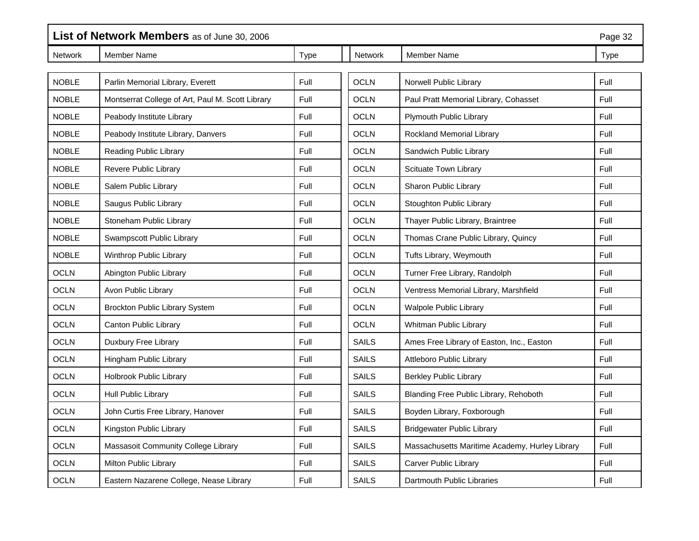|                | List of Network Members as of June 30, 2006      |      |                | Page 32                                        |      |
|----------------|--------------------------------------------------|------|----------------|------------------------------------------------|------|
| <b>Network</b> | <b>Member Name</b>                               | Type | <b>Network</b> | <b>Member Name</b>                             | Type |
| <b>NOBLE</b>   | Parlin Memorial Library, Everett                 | Full | <b>OCLN</b>    | Norwell Public Library                         | Full |
| <b>NOBLE</b>   | Montserrat College of Art, Paul M. Scott Library | Full | <b>OCLN</b>    | Paul Pratt Memorial Library, Cohasset          | Full |
| <b>NOBLE</b>   | Peabody Institute Library                        | Full | <b>OCLN</b>    | Plymouth Public Library                        | Full |
|                |                                                  |      |                |                                                |      |
| <b>NOBLE</b>   | Peabody Institute Library, Danvers               | Full | <b>OCLN</b>    | Rockland Memorial Library                      | Full |
| <b>NOBLE</b>   | Reading Public Library                           | Full | <b>OCLN</b>    | Sandwich Public Library                        | Full |
| <b>NOBLE</b>   | Revere Public Library                            | Full | <b>OCLN</b>    | Scituate Town Library                          | Full |
| <b>NOBLE</b>   | Salem Public Library                             | Full | <b>OCLN</b>    | Sharon Public Library                          | Full |
| <b>NOBLE</b>   | Saugus Public Library                            | Full | <b>OCLN</b>    | Stoughton Public Library                       | Full |
| <b>NOBLE</b>   | Stoneham Public Library                          | Full | <b>OCLN</b>    | Thayer Public Library, Braintree               | Full |
| <b>NOBLE</b>   | Swampscott Public Library                        | Full | <b>OCLN</b>    | Thomas Crane Public Library, Quincy            | Full |
| <b>NOBLE</b>   | Winthrop Public Library                          | Full | <b>OCLN</b>    | Tufts Library, Weymouth                        | Full |
| <b>OCLN</b>    | Abington Public Library                          | Full | <b>OCLN</b>    | Turner Free Library, Randolph                  | Full |
| <b>OCLN</b>    | Avon Public Library                              | Full | <b>OCLN</b>    | Ventress Memorial Library, Marshfield          | Full |
| <b>OCLN</b>    | Brockton Public Library System                   | Full | <b>OCLN</b>    | <b>Walpole Public Library</b>                  | Full |
| <b>OCLN</b>    | Canton Public Library                            | Full | <b>OCLN</b>    | Whitman Public Library                         | Full |
| <b>OCLN</b>    | Duxbury Free Library                             | Full | SAILS          | Ames Free Library of Easton, Inc., Easton      | Full |
| <b>OCLN</b>    | Hingham Public Library                           | Full | <b>SAILS</b>   | Attleboro Public Library                       | Full |
| <b>OCLN</b>    | Holbrook Public Library                          | Full | <b>SAILS</b>   | <b>Berkley Public Library</b>                  | Full |
| <b>OCLN</b>    | Hull Public Library                              | Full | <b>SAILS</b>   | Blanding Free Public Library, Rehoboth         | Full |
| <b>OCLN</b>    | John Curtis Free Library, Hanover                | Full | <b>SAILS</b>   | Boyden Library, Foxborough                     | Full |
| <b>OCLN</b>    | Kingston Public Library                          | Full | <b>SAILS</b>   | <b>Bridgewater Public Library</b>              | Full |
| <b>OCLN</b>    | Massasoit Community College Library              | Full | <b>SAILS</b>   | Massachusetts Maritime Academy, Hurley Library | Full |
| <b>OCLN</b>    | Milton Public Library                            | Full | <b>SAILS</b>   | Carver Public Library                          | Full |
| <b>OCLN</b>    | Eastern Nazarene College, Nease Library          | Full | <b>SAILS</b>   | Dartmouth Public Libraries                     | Full |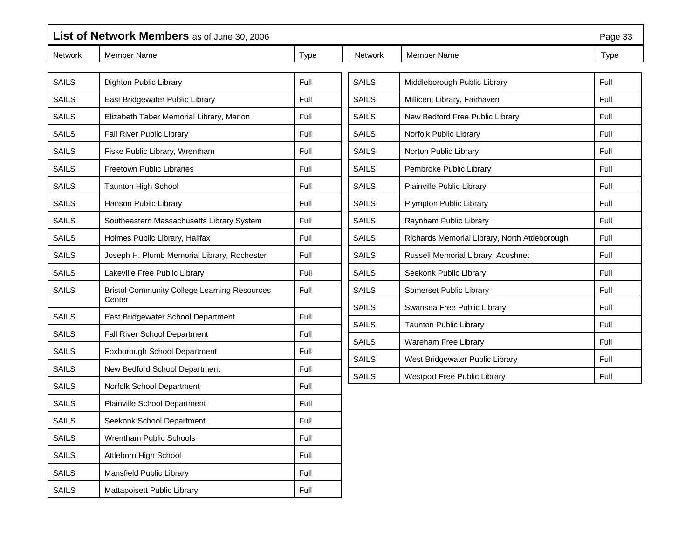| List of Network Members as of June 30, 2006 |                                                               |      |              |                                               | Page 33     |
|---------------------------------------------|---------------------------------------------------------------|------|--------------|-----------------------------------------------|-------------|
| Network                                     | Member Name                                                   | Type | Network      | <b>Member Name</b>                            | <b>Type</b> |
|                                             |                                                               |      |              |                                               |             |
| <b>SAILS</b>                                | Dighton Public Library                                        | Full | <b>SAILS</b> | Middleborough Public Library                  | Full        |
| <b>SAILS</b>                                | East Bridgewater Public Library                               | Full | <b>SAILS</b> | Millicent Library, Fairhaven                  | Full        |
| <b>SAILS</b>                                | Elizabeth Taber Memorial Library, Marion                      | Full | <b>SAILS</b> | New Bedford Free Public Library               | Full        |
| <b>SAILS</b>                                | Fall River Public Library                                     | Full | <b>SAILS</b> | Norfolk Public Library                        | Full        |
| <b>SAILS</b>                                | Fiske Public Library, Wrentham                                | Full | <b>SAILS</b> | Norton Public Library                         | Full        |
| <b>SAILS</b>                                | <b>Freetown Public Libraries</b>                              | Full | <b>SAILS</b> | Pembroke Public Library                       | Full        |
| <b>SAILS</b>                                | <b>Taunton High School</b>                                    | Full | <b>SAILS</b> | Plainville Public Library                     | Full        |
| <b>SAILS</b>                                | Hanson Public Library                                         | Full | <b>SAILS</b> | Plympton Public Library                       | Full        |
| <b>SAILS</b>                                | Southeastern Massachusetts Library System                     | Full | <b>SAILS</b> | Raynham Public Library                        | Full        |
| <b>SAILS</b>                                | Holmes Public Library, Halifax                                | Full | <b>SAILS</b> | Richards Memorial Library, North Attleborough | Full        |
| <b>SAILS</b>                                | Joseph H. Plumb Memorial Library, Rochester                   | Full | <b>SAILS</b> | Russell Memorial Library, Acushnet            | Full        |
| <b>SAILS</b>                                | Lakeville Free Public Library                                 | Full | <b>SAILS</b> | Seekonk Public Library                        | Full        |
| <b>SAILS</b>                                | <b>Bristol Community College Learning Resources</b><br>Center | Full | <b>SAILS</b> | Somerset Public Library                       | Full        |
| <b>SAILS</b>                                | East Bridgewater School Department                            | Full | <b>SAILS</b> | Swansea Free Public Library                   | Full        |
| <b>SAILS</b>                                | Fall River School Department                                  | Full | <b>SAILS</b> | <b>Taunton Public Library</b>                 | Full        |
| <b>SAILS</b>                                | Foxborough School Department                                  | Full | <b>SAILS</b> | Wareham Free Library                          | Full        |
| <b>SAILS</b>                                | New Bedford School Department                                 | Full | <b>SAILS</b> | West Bridgewater Public Library               | Full        |
| <b>SAILS</b>                                | Norfolk School Department                                     | Full | <b>SAILS</b> | Westport Free Public Library                  | Full        |
| <b>SAILS</b>                                | Plainville School Department                                  | Full |              |                                               |             |
| <b>SAILS</b>                                | Seekonk School Department                                     | Full |              |                                               |             |
| <b>SAILS</b>                                | Wrentham Public Schools                                       | Full |              |                                               |             |
| SAILS                                       | Attleboro High School                                         | Full |              |                                               |             |
| SAILS                                       | Mansfield Public Library                                      | Full |              |                                               |             |
| <b>SAILS</b>                                | Mattapoisett Public Library                                   | Full |              |                                               |             |